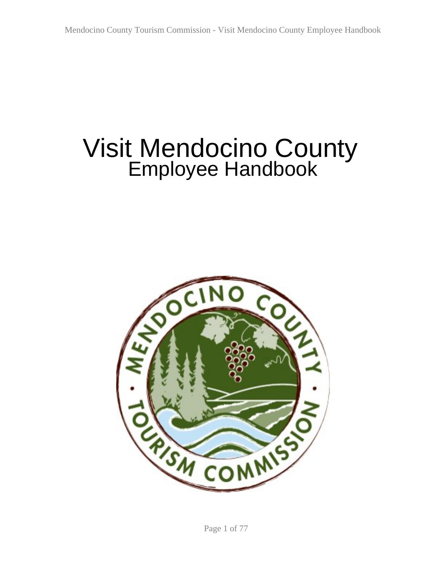# Visit Mendocino County Employee Handbook



Page 1 of 77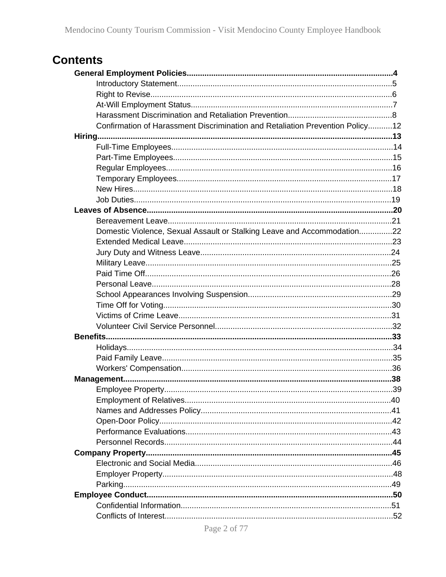### **Contents**

| Confirmation of Harassment Discrimination and Retaliation Prevention Policy12 |  |
|-------------------------------------------------------------------------------|--|
|                                                                               |  |
|                                                                               |  |
|                                                                               |  |
|                                                                               |  |
|                                                                               |  |
|                                                                               |  |
|                                                                               |  |
|                                                                               |  |
|                                                                               |  |
| Domestic Violence, Sexual Assault or Stalking Leave and Accommodation22       |  |
|                                                                               |  |
|                                                                               |  |
|                                                                               |  |
|                                                                               |  |
|                                                                               |  |
|                                                                               |  |
|                                                                               |  |
|                                                                               |  |
|                                                                               |  |
|                                                                               |  |
|                                                                               |  |
|                                                                               |  |
|                                                                               |  |
|                                                                               |  |
|                                                                               |  |
|                                                                               |  |
|                                                                               |  |
|                                                                               |  |
|                                                                               |  |
|                                                                               |  |
|                                                                               |  |
|                                                                               |  |
|                                                                               |  |
|                                                                               |  |
|                                                                               |  |
|                                                                               |  |
|                                                                               |  |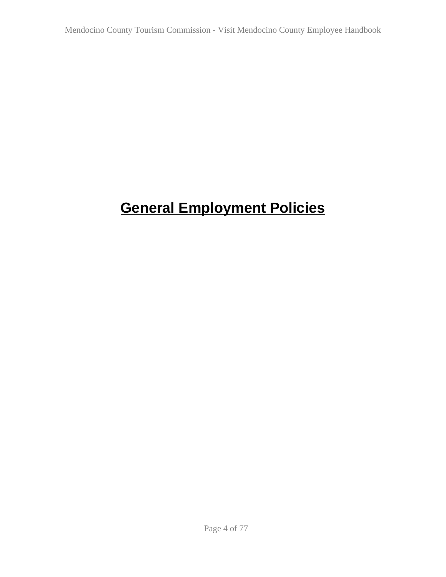Mendocino County Tourism Commission - Visit Mendocino County Employee Handbook

## **General Employment Policies**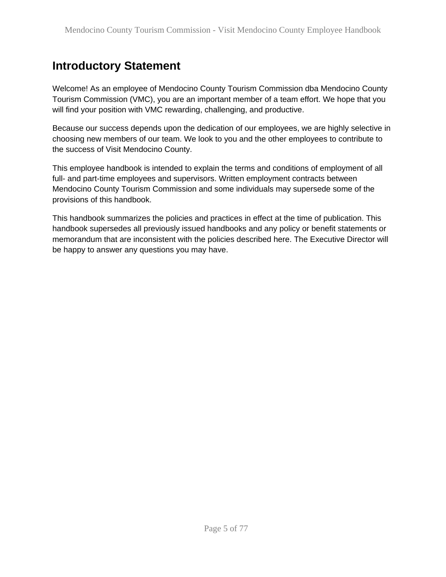#### **Introductory Statement**

Welcome! As an employee of Mendocino County Tourism Commission dba Mendocino County Tourism Commission (VMC), you are an important member of a team effort. We hope that you will find your position with VMC rewarding, challenging, and productive.

Because our success depends upon the dedication of our employees, we are highly selective in choosing new members of our team. We look to you and the other employees to contribute to the success of Visit Mendocino County.

This employee handbook is intended to explain the terms and conditions of employment of all full- and part-time employees and supervisors. Written employment contracts between Mendocino County Tourism Commission and some individuals may supersede some of the provisions of this handbook.

This handbook summarizes the policies and practices in effect at the time of publication. This handbook supersedes all previously issued handbooks and any policy or benefit statements or memorandum that are inconsistent with the policies described here. The Executive Director will be happy to answer any questions you may have.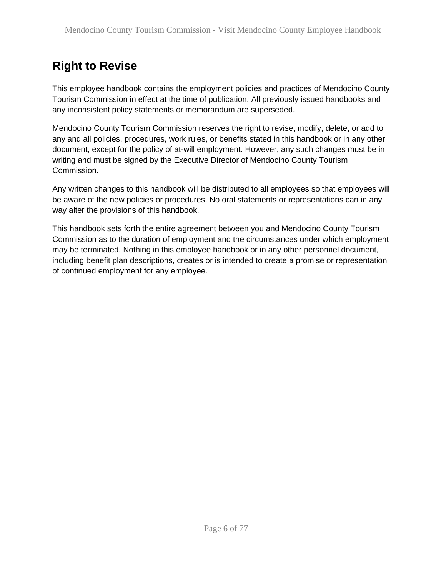### **Right to Revise**

This employee handbook contains the employment policies and practices of Mendocino County Tourism Commission in effect at the time of publication. All previously issued handbooks and any inconsistent policy statements or memorandum are superseded.

Mendocino County Tourism Commission reserves the right to revise, modify, delete, or add to any and all policies, procedures, work rules, or benefits stated in this handbook or in any other document, except for the policy of at-will employment. However, any such changes must be in writing and must be signed by the Executive Director of Mendocino County Tourism Commission.

Any written changes to this handbook will be distributed to all employees so that employees will be aware of the new policies or procedures. No oral statements or representations can in any way alter the provisions of this handbook.

This handbook sets forth the entire agreement between you and Mendocino County Tourism Commission as to the duration of employment and the circumstances under which employment may be terminated. Nothing in this employee handbook or in any other personnel document, including benefit plan descriptions, creates or is intended to create a promise or representation of continued employment for any employee.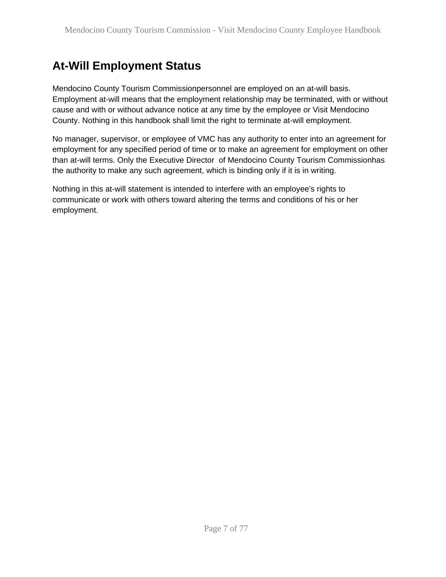### **At-Will Employment Status**

Mendocino County Tourism Commissionpersonnel are employed on an at-will basis. Employment at-will means that the employment relationship may be terminated, with or without cause and with or without advance notice at any time by the employee or Visit Mendocino County. Nothing in this handbook shall limit the right to terminate at-will employment.

No manager, supervisor, or employee of VMC has any authority to enter into an agreement for employment for any specified period of time or to make an agreement for employment on other than at-will terms. Only the Executive Director of Mendocino County Tourism Commissionhas the authority to make any such agreement, which is binding only if it is in writing.

Nothing in this at-will statement is intended to interfere with an employee's rights to communicate or work with others toward altering the terms and conditions of his or her employment.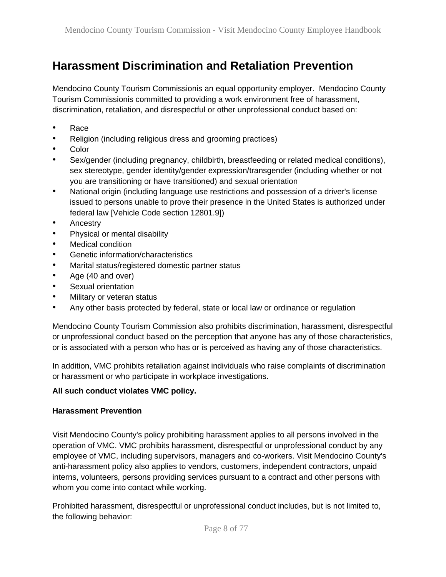#### **Harassment Discrimination and Retaliation Prevention**

Mendocino County Tourism Commissionis an equal opportunity employer. Mendocino County Tourism Commissionis committed to providing a work environment free of harassment, discrimination, retaliation, and disrespectful or other unprofessional conduct based on:

- Race
- Religion (including religious dress and grooming practices)
- Color
- Sex/gender (including pregnancy, childbirth, breastfeeding or related medical conditions), sex stereotype, gender identity/gender expression/transgender (including whether or not you are transitioning or have transitioned) and sexual orientation
- National origin (including language use restrictions and possession of a driver's license issued to persons unable to prove their presence in the United States is authorized under federal law [Vehicle Code section 12801.9])
- Ancestry
- Physical or mental disability
- Medical condition
- Genetic information/characteristics
- Marital status/registered domestic partner status
- Age (40 and over)
- Sexual orientation
- Military or veteran status
- Any other basis protected by federal, state or local law or ordinance or regulation

Mendocino County Tourism Commission also prohibits discrimination, harassment, disrespectful or unprofessional conduct based on the perception that anyone has any of those characteristics, or is associated with a person who has or is perceived as having any of those characteristics.

In addition, VMC prohibits retaliation against individuals who raise complaints of discrimination or harassment or who participate in workplace investigations.

#### **All such conduct violates VMC policy.**

#### **Harassment Prevention**

Visit Mendocino County's policy prohibiting harassment applies to all persons involved in the operation of VMC. VMC prohibits harassment, disrespectful or unprofessional conduct by any employee of VMC, including supervisors, managers and co-workers. Visit Mendocino County's anti-harassment policy also applies to vendors, customers, independent contractors, unpaid interns, volunteers, persons providing services pursuant to a contract and other persons with whom you come into contact while working.

Prohibited harassment, disrespectful or unprofessional conduct includes, but is not limited to, the following behavior: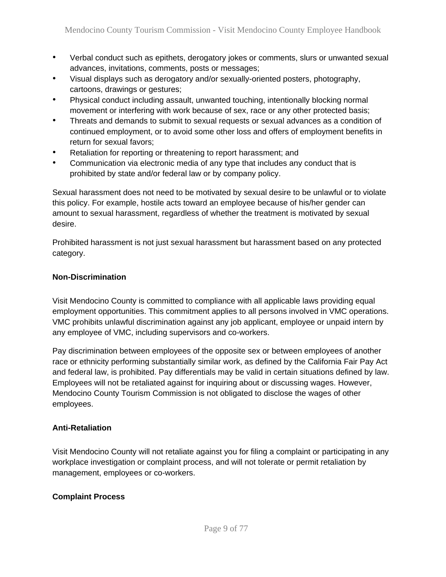- Verbal conduct such as epithets, derogatory jokes or comments, slurs or unwanted sexual advances, invitations, comments, posts or messages;
- Visual displays such as derogatory and/or sexually-oriented posters, photography, cartoons, drawings or gestures;
- Physical conduct including assault, unwanted touching, intentionally blocking normal movement or interfering with work because of sex, race or any other protected basis;
- Threats and demands to submit to sexual requests or sexual advances as a condition of continued employment, or to avoid some other loss and offers of employment benefits in return for sexual favors;
- Retaliation for reporting or threatening to report harassment; and
- Communication via electronic media of any type that includes any conduct that is prohibited by state and/or federal law or by company policy.

Sexual harassment does not need to be motivated by sexual desire to be unlawful or to violate this policy. For example, hostile acts toward an employee because of his/her gender can amount to sexual harassment, regardless of whether the treatment is motivated by sexual desire.

Prohibited harassment is not just sexual harassment but harassment based on any protected category.

#### **Non-Discrimination**

Visit Mendocino County is committed to compliance with all applicable laws providing equal employment opportunities. This commitment applies to all persons involved in VMC operations. VMC prohibits unlawful discrimination against any job applicant, employee or unpaid intern by any employee of VMC, including supervisors and co-workers.

Pay discrimination between employees of the opposite sex or between employees of another race or ethnicity performing substantially similar work, as defined by the California Fair Pay Act and federal law, is prohibited. Pay differentials may be valid in certain situations defined by law. Employees will not be retaliated against for inquiring about or discussing wages. However, Mendocino County Tourism Commission is not obligated to disclose the wages of other employees.

#### **Anti-Retaliation**

Visit Mendocino County will not retaliate against you for filing a complaint or participating in any workplace investigation or complaint process, and will not tolerate or permit retaliation by management, employees or co-workers.

#### **Complaint Process**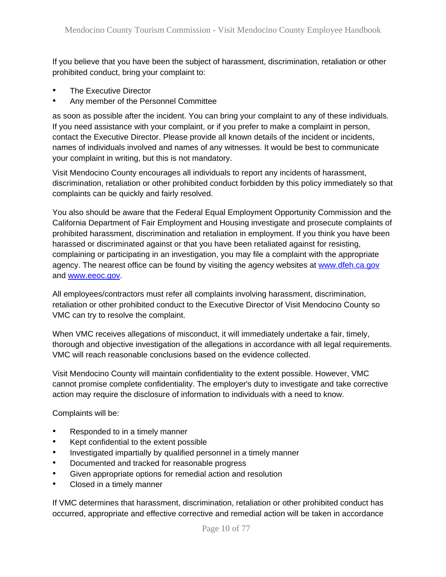If you believe that you have been the subject of harassment, discrimination, retaliation or other prohibited conduct, bring your complaint to:

- The Executive Director
- Any member of the Personnel Committee

as soon as possible after the incident. You can bring your complaint to any of these individuals. If you need assistance with your complaint, or if you prefer to make a complaint in person, contact the Executive Director. Please provide all known details of the incident or incidents, names of individuals involved and names of any witnesses. It would be best to communicate your complaint in writing, but this is not mandatory.

Visit Mendocino County encourages all individuals to report any incidents of harassment, discrimination, retaliation or other prohibited conduct forbidden by this policy immediately so that complaints can be quickly and fairly resolved.

You also should be aware that the Federal Equal Employment Opportunity Commission and the California Department of Fair Employment and Housing investigate and prosecute complaints of prohibited harassment, discrimination and retaliation in employment. If you think you have been harassed or discriminated against or that you have been retaliated against for resisting, complaining or participating in an investigation, you may file a complaint with the appropriate agency. The nearest office can be found by visiting the agency websites at [www.dfeh.ca.gov](http://www.dfeh.ca.gov) and [www.eeoc.gov.](http://www.eeoc.gov)

All employees/contractors must refer all complaints involving harassment, discrimination, retaliation or other prohibited conduct to the Executive Director of Visit Mendocino County so VMC can try to resolve the complaint.

When VMC receives allegations of misconduct, it will immediately undertake a fair, timely, thorough and objective investigation of the allegations in accordance with all legal requirements. VMC will reach reasonable conclusions based on the evidence collected.

Visit Mendocino County will maintain confidentiality to the extent possible. However, VMC cannot promise complete confidentiality. The employer's duty to investigate and take corrective action may require the disclosure of information to individuals with a need to know.

Complaints will be:

- Responded to in a timely manner
- Kept confidential to the extent possible
- Investigated impartially by qualified personnel in a timely manner
- Documented and tracked for reasonable progress
- Given appropriate options for remedial action and resolution
- Closed in a timely manner

If VMC determines that harassment, discrimination, retaliation or other prohibited conduct has occurred, appropriate and effective corrective and remedial action will be taken in accordance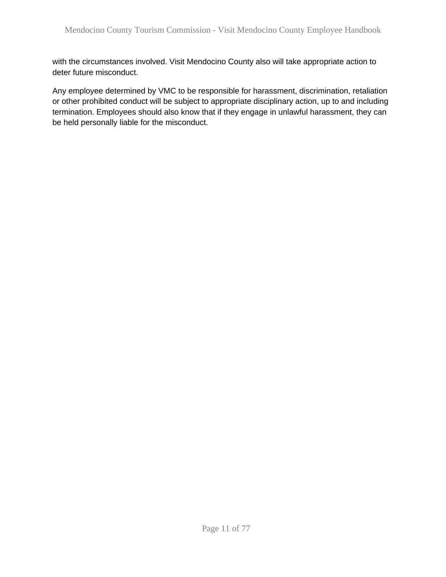with the circumstances involved. Visit Mendocino County also will take appropriate action to deter future misconduct.

Any employee determined by VMC to be responsible for harassment, discrimination, retaliation or other prohibited conduct will be subject to appropriate disciplinary action, up to and including termination. Employees should also know that if they engage in unlawful harassment, they can be held personally liable for the misconduct.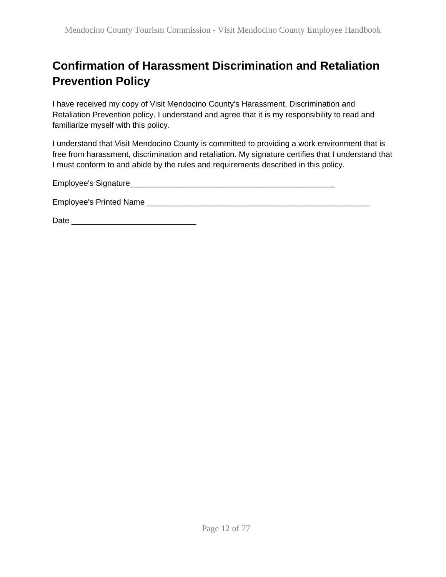### **Confirmation of Harassment Discrimination and Retaliation Prevention Policy**

I have received my copy of Visit Mendocino County's Harassment, Discrimination and Retaliation Prevention policy. I understand and agree that it is my responsibility to read and familiarize myself with this policy.

I understand that Visit Mendocino County is committed to providing a work environment that is free from harassment, discrimination and retaliation. My signature certifies that I understand that I must conform to and abide by the rules and requirements described in this policy.

Employee's Signature\_\_\_\_\_\_\_\_\_\_\_\_\_\_\_\_\_\_\_\_\_\_\_\_\_\_\_\_\_\_\_\_\_\_\_\_\_\_\_\_\_\_\_\_\_\_

Employee's Printed Name \_\_\_\_\_\_\_\_\_\_\_\_\_\_\_\_\_\_\_\_\_\_\_\_\_\_\_\_\_\_\_\_\_\_\_\_\_\_\_\_\_\_\_\_\_\_\_\_\_\_

Date \_\_\_\_\_\_\_\_\_\_\_\_\_\_\_\_\_\_\_\_\_\_\_\_\_\_\_\_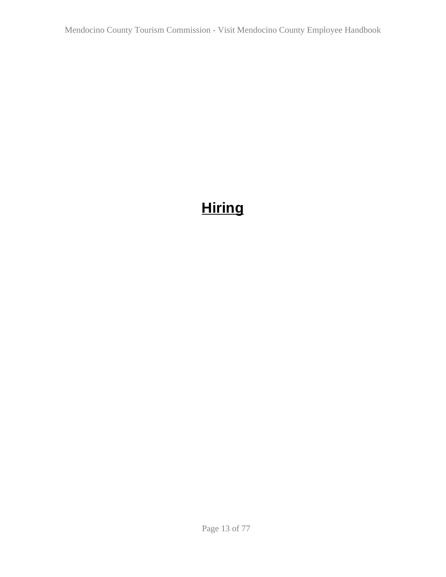Mendocino County Tourism Commission - Visit Mendocino County Employee Handbook

## **Hiring**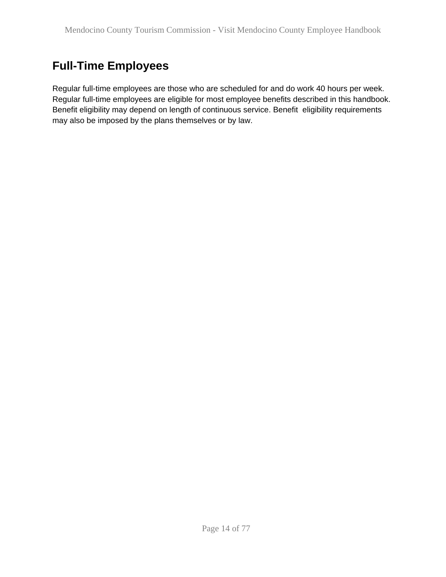### **Full-Time Employees**

Regular full-time employees are those who are scheduled for and do work 40 hours per week. Regular full-time employees are eligible for most employee benefits described in this handbook. Benefit eligibility may depend on length of continuous service. Benefit eligibility requirements may also be imposed by the plans themselves or by law.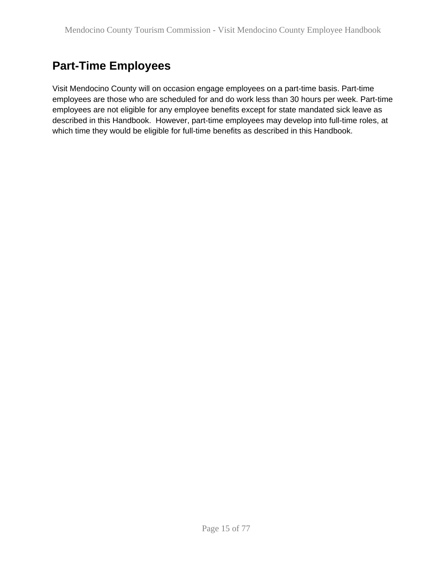#### **Part-Time Employees**

Visit Mendocino County will on occasion engage employees on a part-time basis. Part-time employees are those who are scheduled for and do work less than 30 hours per week. Part-time employees are not eligible for any employee benefits except for state mandated sick leave as described in this Handbook. However, part-time employees may develop into full-time roles, at which time they would be eligible for full-time benefits as described in this Handbook.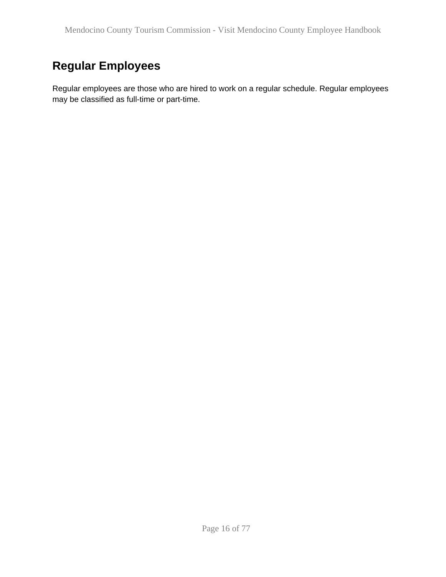### **Regular Employees**

Regular employees are those who are hired to work on a regular schedule. Regular employees may be classified as full-time or part-time.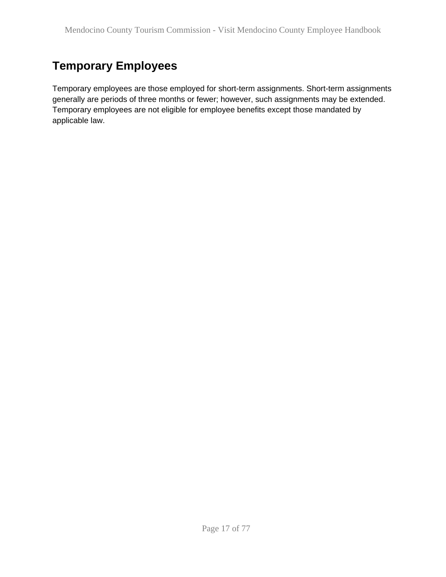### **Temporary Employees**

Temporary employees are those employed for short-term assignments. Short-term assignments generally are periods of three months or fewer; however, such assignments may be extended. Temporary employees are not eligible for employee benefits except those mandated by applicable law.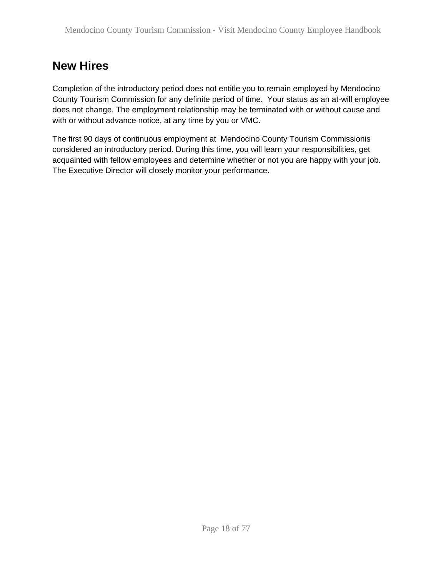#### **New Hires**

Completion of the introductory period does not entitle you to remain employed by Mendocino County Tourism Commission for any definite period of time. Your status as an at-will employee does not change. The employment relationship may be terminated with or without cause and with or without advance notice, at any time by you or VMC.

The first 90 days of continuous employment at Mendocino County Tourism Commissionis considered an introductory period. During this time, you will learn your responsibilities, get acquainted with fellow employees and determine whether or not you are happy with your job. The Executive Director will closely monitor your performance.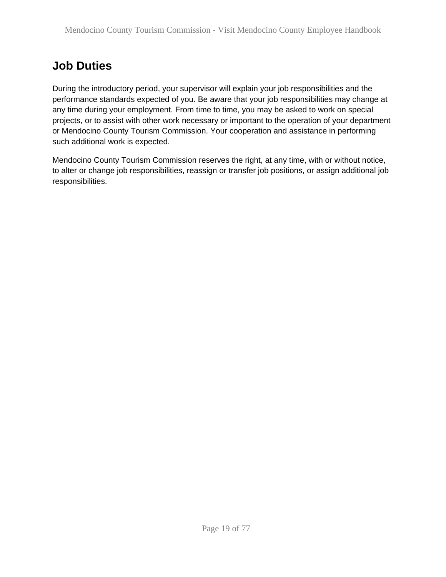### **Job Duties**

During the introductory period, your supervisor will explain your job responsibilities and the performance standards expected of you. Be aware that your job responsibilities may change at any time during your employment. From time to time, you may be asked to work on special projects, or to assist with other work necessary or important to the operation of your department or Mendocino County Tourism Commission. Your cooperation and assistance in performing such additional work is expected.

Mendocino County Tourism Commission reserves the right, at any time, with or without notice, to alter or change job responsibilities, reassign or transfer job positions, or assign additional job responsibilities.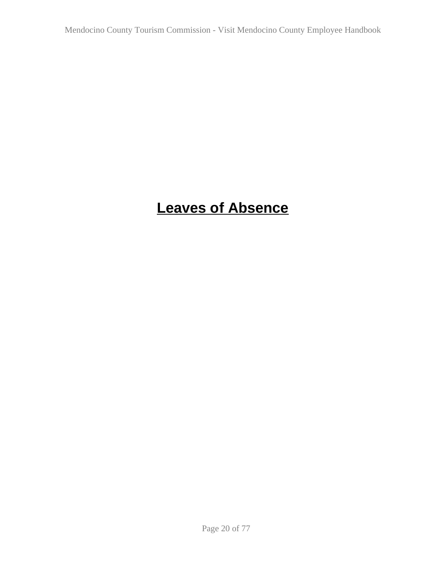Mendocino County Tourism Commission - Visit Mendocino County Employee Handbook

## **Leaves of Absence**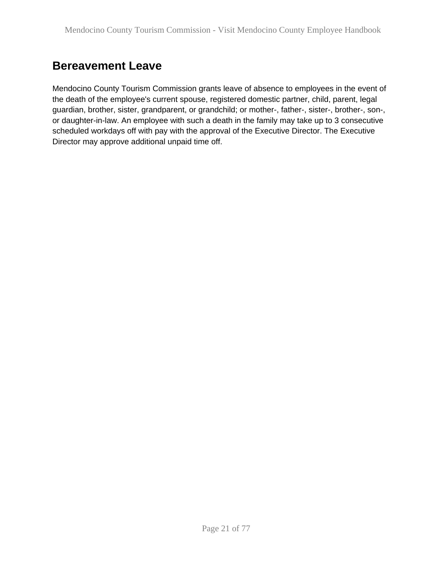#### **Bereavement Leave**

Mendocino County Tourism Commission grants leave of absence to employees in the event of the death of the employee's current spouse, registered domestic partner, child, parent, legal guardian, brother, sister, grandparent, or grandchild; or mother-, father-, sister-, brother-, son-, or daughter-in-law. An employee with such a death in the family may take up to 3 consecutive scheduled workdays off with pay with the approval of the Executive Director. The Executive Director may approve additional unpaid time off.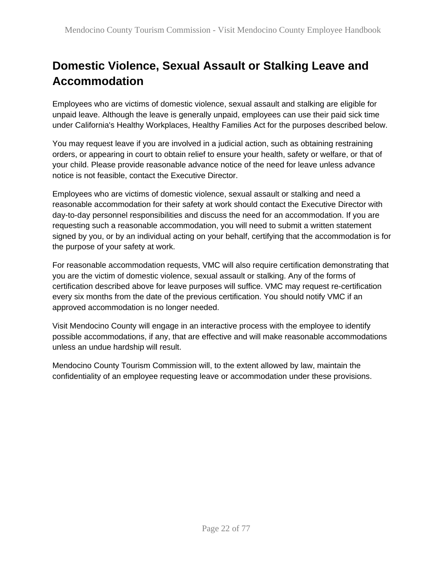### **Domestic Violence, Sexual Assault or Stalking Leave and Accommodation**

Employees who are victims of domestic violence, sexual assault and stalking are eligible for unpaid leave. Although the leave is generally unpaid, employees can use their paid sick time under California's Healthy Workplaces, Healthy Families Act for the purposes described below.

You may request leave if you are involved in a judicial action, such as obtaining restraining orders, or appearing in court to obtain relief to ensure your health, safety or welfare, or that of your child. Please provide reasonable advance notice of the need for leave unless advance notice is not feasible, contact the Executive Director.

Employees who are victims of domestic violence, sexual assault or stalking and need a reasonable accommodation for their safety at work should contact the Executive Director with day-to-day personnel responsibilities and discuss the need for an accommodation. If you are requesting such a reasonable accommodation, you will need to submit a written statement signed by you, or by an individual acting on your behalf, certifying that the accommodation is for the purpose of your safety at work.

For reasonable accommodation requests, VMC will also require certification demonstrating that you are the victim of domestic violence, sexual assault or stalking. Any of the forms of certification described above for leave purposes will suffice. VMC may request re-certification every six months from the date of the previous certification. You should notify VMC if an approved accommodation is no longer needed.

Visit Mendocino County will engage in an interactive process with the employee to identify possible accommodations, if any, that are effective and will make reasonable accommodations unless an undue hardship will result.

Mendocino County Tourism Commission will, to the extent allowed by law, maintain the confidentiality of an employee requesting leave or accommodation under these provisions.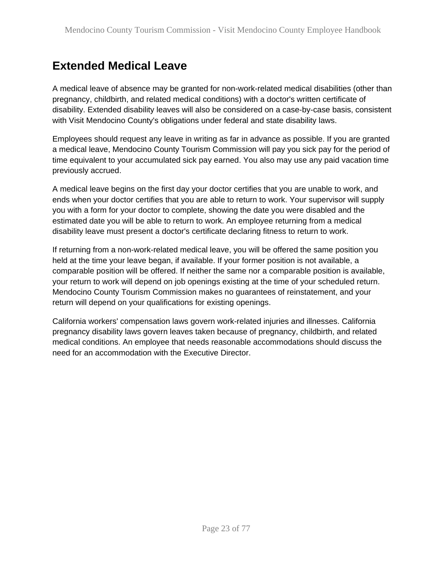#### **Extended Medical Leave**

A medical leave of absence may be granted for non-work-related medical disabilities (other than pregnancy, childbirth, and related medical conditions) with a doctor's written certificate of disability. Extended disability leaves will also be considered on a case-by-case basis, consistent with Visit Mendocino County's obligations under federal and state disability laws.

Employees should request any leave in writing as far in advance as possible. If you are granted a medical leave, Mendocino County Tourism Commission will pay you sick pay for the period of time equivalent to your accumulated sick pay earned. You also may use any paid vacation time previously accrued.

A medical leave begins on the first day your doctor certifies that you are unable to work, and ends when your doctor certifies that you are able to return to work. Your supervisor will supply you with a form for your doctor to complete, showing the date you were disabled and the estimated date you will be able to return to work. An employee returning from a medical disability leave must present a doctor's certificate declaring fitness to return to work.

If returning from a non-work-related medical leave, you will be offered the same position you held at the time your leave began, if available. If your former position is not available, a comparable position will be offered. If neither the same nor a comparable position is available, your return to work will depend on job openings existing at the time of your scheduled return. Mendocino County Tourism Commission makes no guarantees of reinstatement, and your return will depend on your qualifications for existing openings.

California workers' compensation laws govern work-related injuries and illnesses. California pregnancy disability laws govern leaves taken because of pregnancy, childbirth, and related medical conditions. An employee that needs reasonable accommodations should discuss the need for an accommodation with the Executive Director.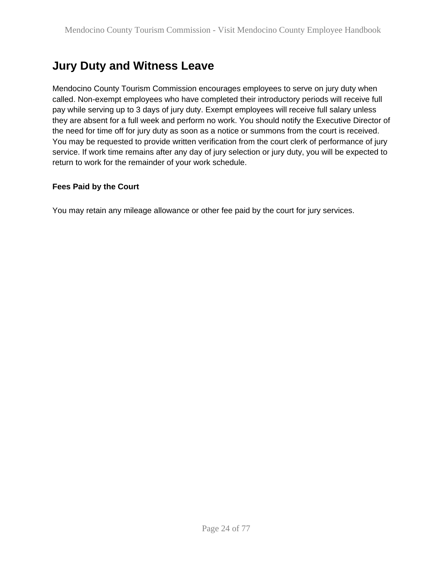#### **Jury Duty and Witness Leave**

Mendocino County Tourism Commission encourages employees to serve on jury duty when called. Non-exempt employees who have completed their introductory periods will receive full pay while serving up to 3 days of jury duty. Exempt employees will receive full salary unless they are absent for a full week and perform no work. You should notify the Executive Director of the need for time off for jury duty as soon as a notice or summons from the court is received. You may be requested to provide written verification from the court clerk of performance of jury service. If work time remains after any day of jury selection or jury duty, you will be expected to return to work for the remainder of your work schedule.

#### **Fees Paid by the Court**

You may retain any mileage allowance or other fee paid by the court for jury services.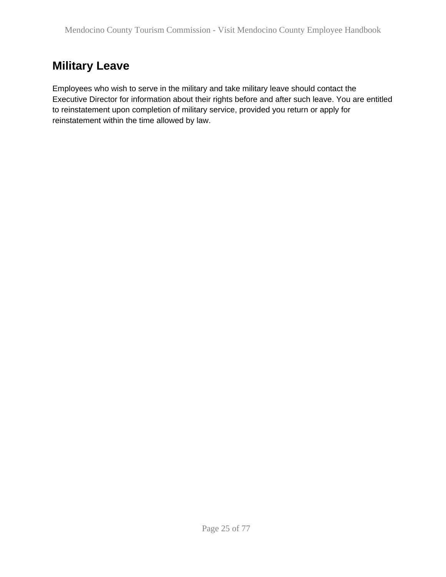### **Military Leave**

Employees who wish to serve in the military and take military leave should contact the Executive Director for information about their rights before and after such leave. You are entitled to reinstatement upon completion of military service, provided you return or apply for reinstatement within the time allowed by law.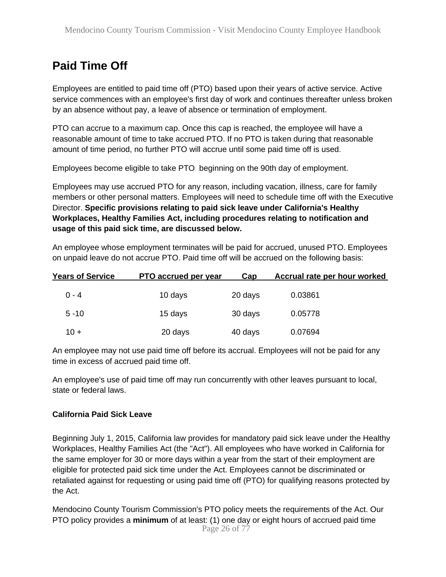#### **Paid Time Off**

Employees are entitled to paid time off (PTO) based upon their years of active service. Active service commences with an employee's first day of work and continues thereafter unless broken by an absence without pay, a leave of absence or termination of employment.

PTO can accrue to a maximum cap. Once this cap is reached, the employee will have a reasonable amount of time to take accrued PTO. If no PTO is taken during that reasonable amount of time period, no further PTO will accrue until some paid time off is used.

Employees become eligible to take PTO beginning on the 90th day of employment.

Employees may use accrued PTO for any reason, including vacation, illness, care for family members or other personal matters. Employees will need to schedule time off with the Executive Director. **Specific provisions relating to paid sick leave under California's Healthy Workplaces, Healthy Families Act, including procedures relating to notification and usage of this paid sick time, are discussed below.**

An employee whose employment terminates will be paid for accrued, unused PTO. Employees on unpaid leave do not accrue PTO. Paid time off will be accrued on the following basis:

| <b>Years of Service</b> | <b>PTO</b> accrued per year | Cap     | Accrual rate per hour worked |
|-------------------------|-----------------------------|---------|------------------------------|
| $0 - 4$                 | 10 days                     | 20 days | 0.03861                      |
| $5 - 10$                | 15 days                     | 30 days | 0.05778                      |
| 10 +                    | 20 days                     | 40 days | 0.07694                      |

An employee may not use paid time off before its accrual. Employees will not be paid for any time in excess of accrued paid time off.

An employee's use of paid time off may run concurrently with other leaves pursuant to local, state or federal laws.

#### **California Paid Sick Leave**

Beginning July 1, 2015, California law provides for mandatory paid sick leave under the Healthy Workplaces, Healthy Families Act (the "Act"). All employees who have worked in California for the same employer for 30 or more days within a year from the start of their employment are eligible for protected paid sick time under the Act. Employees cannot be discriminated or retaliated against for requesting or using paid time off (PTO) for qualifying reasons protected by the Act.

Mendocino County Tourism Commission's PTO policy meets the requirements of the Act. Our PTO policy provides a **minimum** of at least: (1) one day or eight hours of accrued paid time Page 26 of 77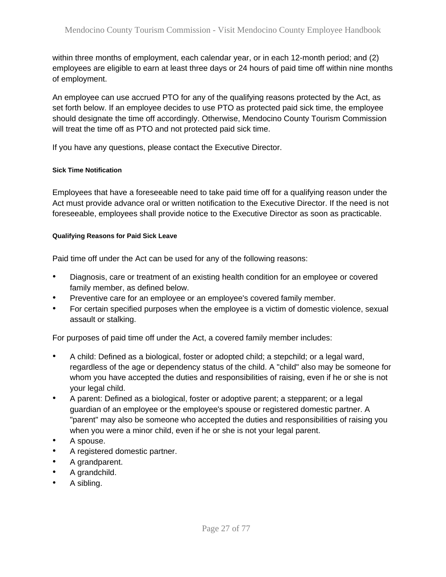within three months of employment, each calendar year, or in each 12-month period; and (2) employees are eligible to earn at least three days or 24 hours of paid time off within nine months of employment.

An employee can use accrued PTO for any of the qualifying reasons protected by the Act, as set forth below. If an employee decides to use PTO as protected paid sick time, the employee should designate the time off accordingly. Otherwise, Mendocino County Tourism Commission will treat the time off as PTO and not protected paid sick time.

If you have any questions, please contact the Executive Director.

#### **Sick Time Notification**

Employees that have a foreseeable need to take paid time off for a qualifying reason under the Act must provide advance oral or written notification to the Executive Director. If the need is not foreseeable, employees shall provide notice to the Executive Director as soon as practicable.

#### **Qualifying Reasons for Paid Sick Leave**

Paid time off under the Act can be used for any of the following reasons:

- Diagnosis, care or treatment of an existing health condition for an employee or covered family member, as defined below.
- Preventive care for an employee or an employee's covered family member.
- For certain specified purposes when the employee is a victim of domestic violence, sexual assault or stalking.

For purposes of paid time off under the Act, a covered family member includes:

- A child: Defined as a biological, foster or adopted child; a stepchild; or a legal ward, regardless of the age or dependency status of the child. A "child" also may be someone for whom you have accepted the duties and responsibilities of raising, even if he or she is not your legal child.
- A parent: Defined as a biological, foster or adoptive parent; a stepparent; or a legal guardian of an employee or the employee's spouse or registered domestic partner. A "parent" may also be someone who accepted the duties and responsibilities of raising you when you were a minor child, even if he or she is not your legal parent.
- A spouse.
- A registered domestic partner.
- A grandparent.
- A grandchild.
- A sibling.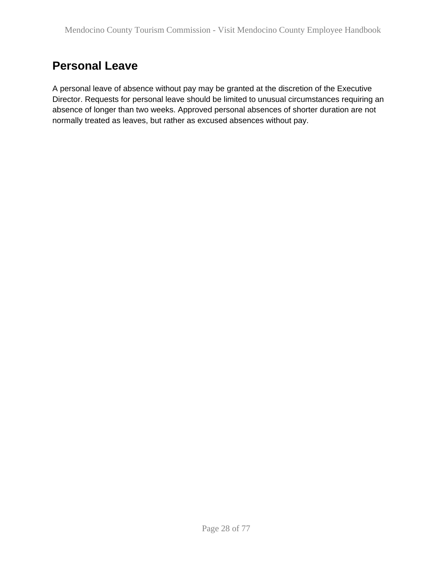#### **Personal Leave**

A personal leave of absence without pay may be granted at the discretion of the Executive Director. Requests for personal leave should be limited to unusual circumstances requiring an absence of longer than two weeks. Approved personal absences of shorter duration are not normally treated as leaves, but rather as excused absences without pay.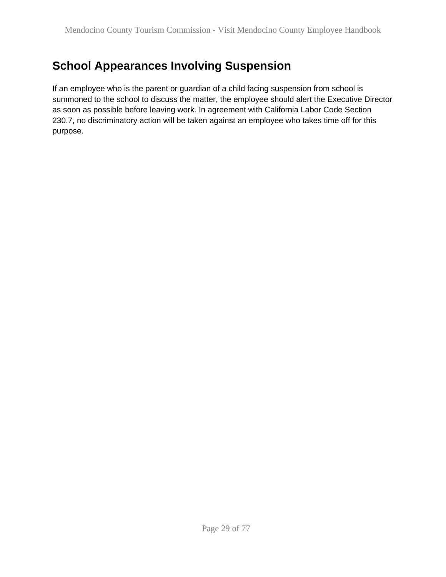#### **School Appearances Involving Suspension**

If an employee who is the parent or guardian of a child facing suspension from school is summoned to the school to discuss the matter, the employee should alert the Executive Director as soon as possible before leaving work. In agreement with California Labor Code Section 230.7, no discriminatory action will be taken against an employee who takes time off for this purpose.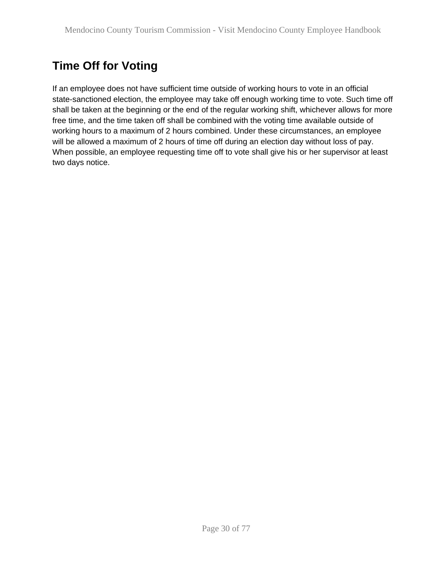### **Time Off for Voting**

If an employee does not have sufficient time outside of working hours to vote in an official state-sanctioned election, the employee may take off enough working time to vote. Such time off shall be taken at the beginning or the end of the regular working shift, whichever allows for more free time, and the time taken off shall be combined with the voting time available outside of working hours to a maximum of 2 hours combined. Under these circumstances, an employee will be allowed a maximum of 2 hours of time off during an election day without loss of pay. When possible, an employee requesting time off to vote shall give his or her supervisor at least two days notice.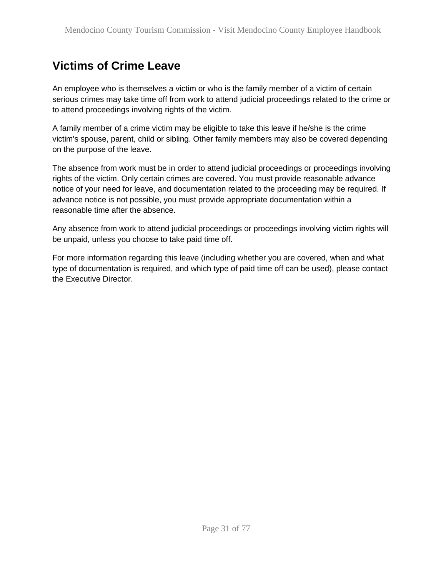#### **Victims of Crime Leave**

An employee who is themselves a victim or who is the family member of a victim of certain serious crimes may take time off from work to attend judicial proceedings related to the crime or to attend proceedings involving rights of the victim.

A family member of a crime victim may be eligible to take this leave if he/she is the crime victim's spouse, parent, child or sibling. Other family members may also be covered depending on the purpose of the leave.

The absence from work must be in order to attend judicial proceedings or proceedings involving rights of the victim. Only certain crimes are covered. You must provide reasonable advance notice of your need for leave, and documentation related to the proceeding may be required. If advance notice is not possible, you must provide appropriate documentation within a reasonable time after the absence.

Any absence from work to attend judicial proceedings or proceedings involving victim rights will be unpaid, unless you choose to take paid time off.

For more information regarding this leave (including whether you are covered, when and what type of documentation is required, and which type of paid time off can be used), please contact the Executive Director.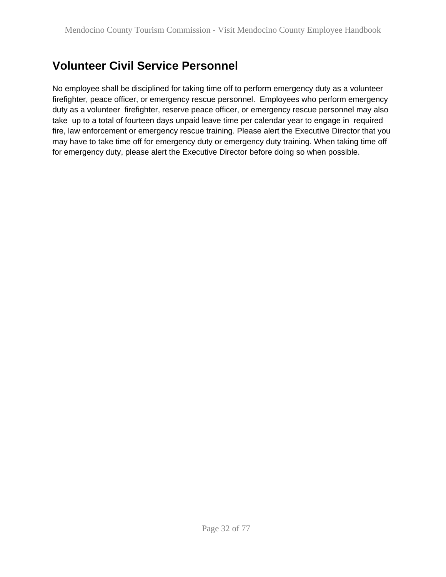#### **Volunteer Civil Service Personnel**

No employee shall be disciplined for taking time off to perform emergency duty as a volunteer firefighter, peace officer, or emergency rescue personnel. Employees who perform emergency duty as a volunteer firefighter, reserve peace officer, or emergency rescue personnel may also take up to a total of fourteen days unpaid leave time per calendar year to engage in required fire, law enforcement or emergency rescue training. Please alert the Executive Director that you may have to take time off for emergency duty or emergency duty training. When taking time off for emergency duty, please alert the Executive Director before doing so when possible.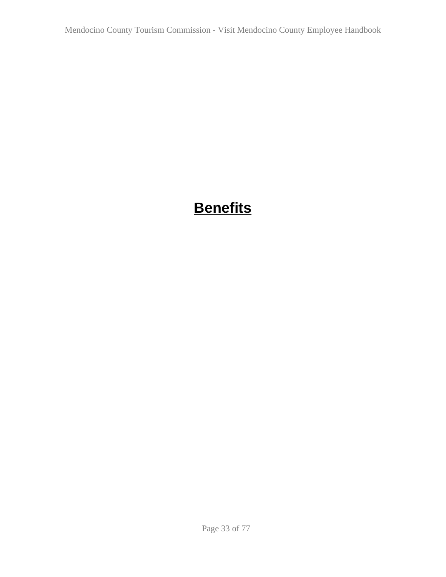Mendocino County Tourism Commission - Visit Mendocino County Employee Handbook

## **Benefits**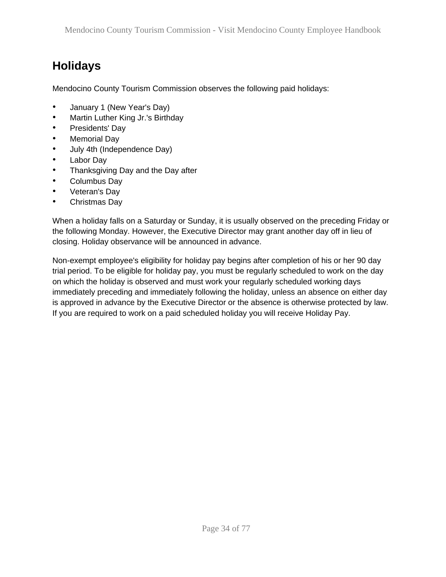### **Holidays**

Mendocino County Tourism Commission observes the following paid holidays:

- January 1 (New Year's Day)
- Martin Luther King Jr.'s Birthday
- Presidents' Day
- Memorial Day
- July 4th (Independence Day)
- Labor Day
- Thanksgiving Day and the Day after
- Columbus Day
- Veteran's Day
- Christmas Day

When a holiday falls on a Saturday or Sunday, it is usually observed on the preceding Friday or the following Monday. However, the Executive Director may grant another day off in lieu of closing. Holiday observance will be announced in advance.

Non-exempt employee's eligibility for holiday pay begins after completion of his or her 90 day trial period. To be eligible for holiday pay, you must be regularly scheduled to work on the day on which the holiday is observed and must work your regularly scheduled working days immediately preceding and immediately following the holiday, unless an absence on either day is approved in advance by the Executive Director or the absence is otherwise protected by law. If you are required to work on a paid scheduled holiday you will receive Holiday Pay.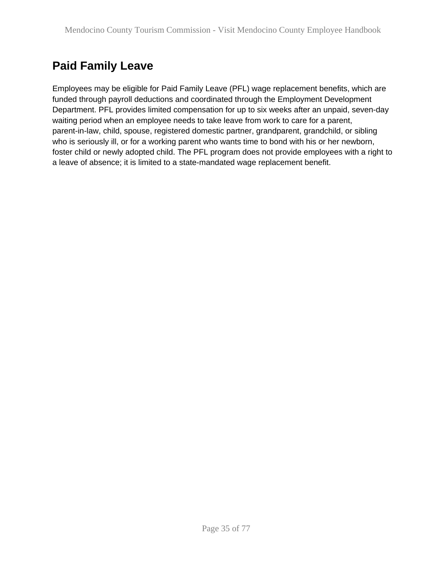### **Paid Family Leave**

Employees may be eligible for Paid Family Leave (PFL) wage replacement benefits, which are funded through payroll deductions and coordinated through the Employment Development Department. PFL provides limited compensation for up to six weeks after an unpaid, seven-day waiting period when an employee needs to take leave from work to care for a parent, parent-in-law, child, spouse, registered domestic partner, grandparent, grandchild, or sibling who is seriously ill, or for a working parent who wants time to bond with his or her newborn, foster child or newly adopted child. The PFL program does not provide employees with a right to a leave of absence; it is limited to a state-mandated wage replacement benefit.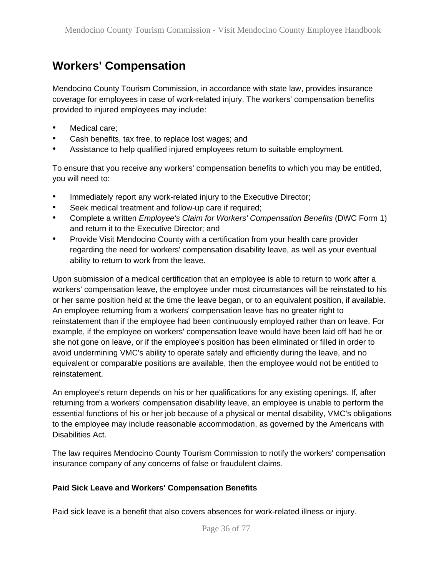#### **Workers' Compensation**

Mendocino County Tourism Commission, in accordance with state law, provides insurance coverage for employees in case of work-related injury. The workers' compensation benefits provided to injured employees may include:

- Medical care;
- Cash benefits, tax free, to replace lost wages; and
- Assistance to help qualified injured employees return to suitable employment.

To ensure that you receive any workers' compensation benefits to which you may be entitled, you will need to:

- Immediately report any work-related injury to the Executive Director;
- Seek medical treatment and follow-up care if required;
- Complete a written *Employee's Claim for Workers' Compensation Benefits* (DWC Form 1) and return it to the Executive Director; and
- Provide Visit Mendocino County with a certification from your health care provider regarding the need for workers' compensation disability leave, as well as your eventual ability to return to work from the leave.

Upon submission of a medical certification that an employee is able to return to work after a workers' compensation leave, the employee under most circumstances will be reinstated to his or her same position held at the time the leave began, or to an equivalent position, if available. An employee returning from a workers' compensation leave has no greater right to reinstatement than if the employee had been continuously employed rather than on leave. For example, if the employee on workers' compensation leave would have been laid off had he or she not gone on leave, or if the employee's position has been eliminated or filled in order to avoid undermining VMC's ability to operate safely and efficiently during the leave, and no equivalent or comparable positions are available, then the employee would not be entitled to reinstatement.

An employee's return depends on his or her qualifications for any existing openings. If, after returning from a workers' compensation disability leave, an employee is unable to perform the essential functions of his or her job because of a physical or mental disability, VMC's obligations to the employee may include reasonable accommodation, as governed by the Americans with Disabilities Act.

The law requires Mendocino County Tourism Commission to notify the workers' compensation insurance company of any concerns of false or fraudulent claims.

#### **Paid Sick Leave and Workers' Compensation Benefits**

Paid sick leave is a benefit that also covers absences for work-related illness or injury.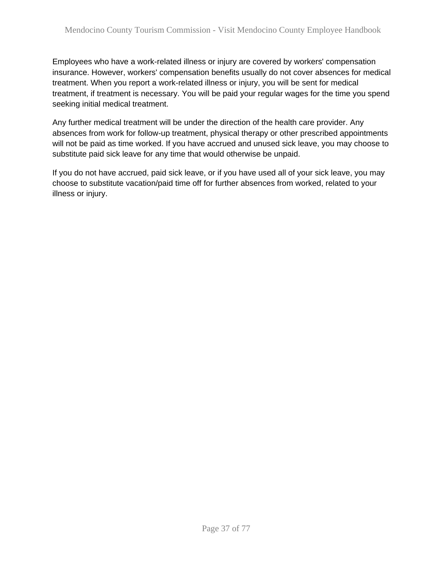Employees who have a work-related illness or injury are covered by workers' compensation insurance. However, workers' compensation benefits usually do not cover absences for medical treatment. When you report a work-related illness or injury, you will be sent for medical treatment, if treatment is necessary. You will be paid your regular wages for the time you spend seeking initial medical treatment.

Any further medical treatment will be under the direction of the health care provider. Any absences from work for follow-up treatment, physical therapy or other prescribed appointments will not be paid as time worked. If you have accrued and unused sick leave, you may choose to substitute paid sick leave for any time that would otherwise be unpaid.

If you do not have accrued, paid sick leave, or if you have used all of your sick leave, you may choose to substitute vacation/paid time off for further absences from worked, related to your illness or injury.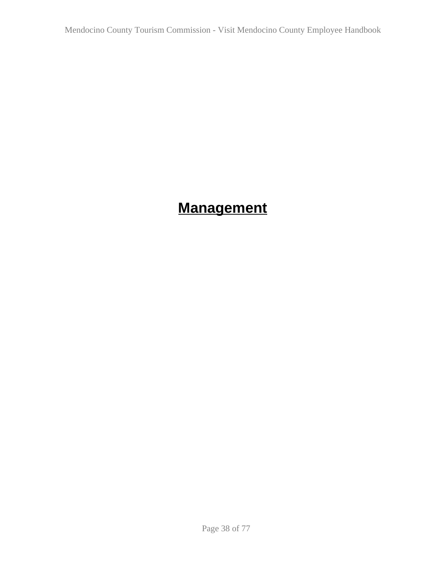Mendocino County Tourism Commission - Visit Mendocino County Employee Handbook

## **Management**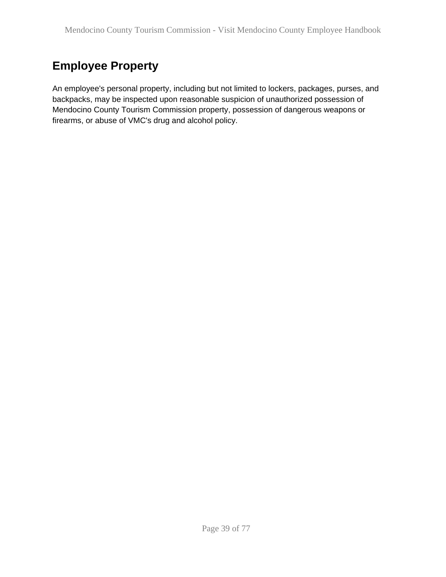## **Employee Property**

An employee's personal property, including but not limited to lockers, packages, purses, and backpacks, may be inspected upon reasonable suspicion of unauthorized possession of Mendocino County Tourism Commission property, possession of dangerous weapons or firearms, or abuse of VMC's drug and alcohol policy.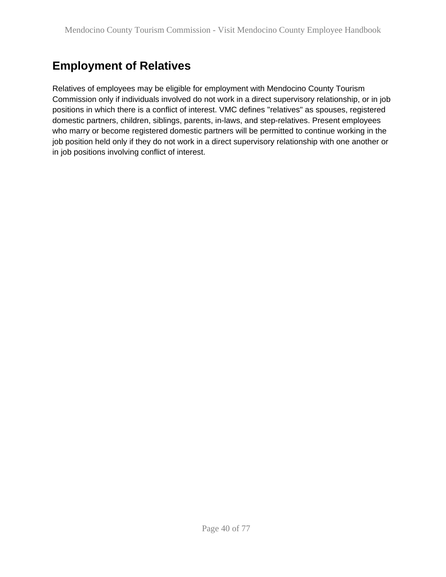## **Employment of Relatives**

Relatives of employees may be eligible for employment with Mendocino County Tourism Commission only if individuals involved do not work in a direct supervisory relationship, or in job positions in which there is a conflict of interest. VMC defines "relatives" as spouses, registered domestic partners, children, siblings, parents, in-laws, and step-relatives. Present employees who marry or become registered domestic partners will be permitted to continue working in the job position held only if they do not work in a direct supervisory relationship with one another or in job positions involving conflict of interest.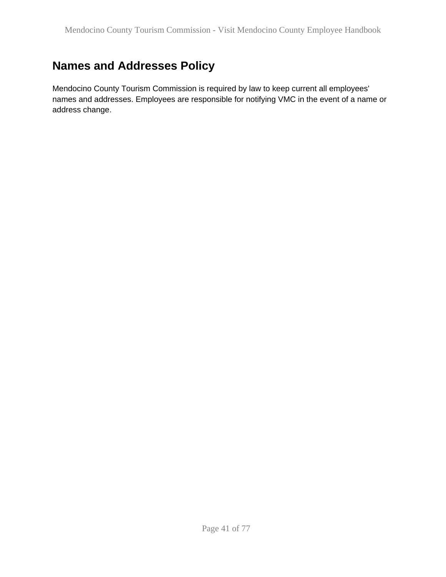## **Names and Addresses Policy**

Mendocino County Tourism Commission is required by law to keep current all employees' names and addresses. Employees are responsible for notifying VMC in the event of a name or address change.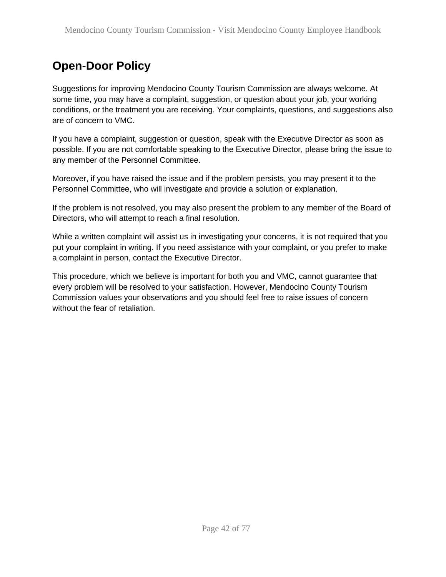## **Open-Door Policy**

Suggestions for improving Mendocino County Tourism Commission are always welcome. At some time, you may have a complaint, suggestion, or question about your job, your working conditions, or the treatment you are receiving. Your complaints, questions, and suggestions also are of concern to VMC.

If you have a complaint, suggestion or question, speak with the Executive Director as soon as possible. If you are not comfortable speaking to the Executive Director, please bring the issue to any member of the Personnel Committee.

Moreover, if you have raised the issue and if the problem persists, you may present it to the Personnel Committee, who will investigate and provide a solution or explanation.

If the problem is not resolved, you may also present the problem to any member of the Board of Directors, who will attempt to reach a final resolution.

While a written complaint will assist us in investigating your concerns, it is not required that you put your complaint in writing. If you need assistance with your complaint, or you prefer to make a complaint in person, contact the Executive Director.

This procedure, which we believe is important for both you and VMC, cannot guarantee that every problem will be resolved to your satisfaction. However, Mendocino County Tourism Commission values your observations and you should feel free to raise issues of concern without the fear of retaliation.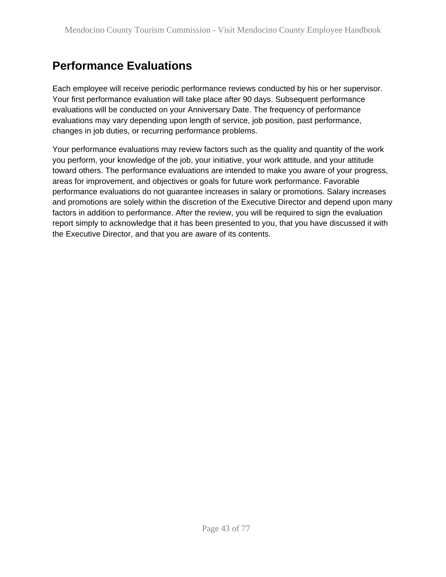## **Performance Evaluations**

Each employee will receive periodic performance reviews conducted by his or her supervisor. Your first performance evaluation will take place after 90 days. Subsequent performance evaluations will be conducted on your Anniversary Date. The frequency of performance evaluations may vary depending upon length of service, job position, past performance, changes in job duties, or recurring performance problems.

Your performance evaluations may review factors such as the quality and quantity of the work you perform, your knowledge of the job, your initiative, your work attitude, and your attitude toward others. The performance evaluations are intended to make you aware of your progress, areas for improvement, and objectives or goals for future work performance. Favorable performance evaluations do not guarantee increases in salary or promotions. Salary increases and promotions are solely within the discretion of the Executive Director and depend upon many factors in addition to performance. After the review, you will be required to sign the evaluation report simply to acknowledge that it has been presented to you, that you have discussed it with the Executive Director, and that you are aware of its contents.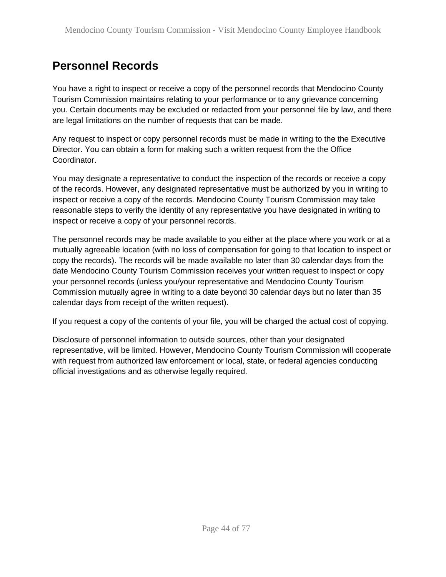## **Personnel Records**

You have a right to inspect or receive a copy of the personnel records that Mendocino County Tourism Commission maintains relating to your performance or to any grievance concerning you. Certain documents may be excluded or redacted from your personnel file by law, and there are legal limitations on the number of requests that can be made.

Any request to inspect or copy personnel records must be made in writing to the the Executive Director. You can obtain a form for making such a written request from the the Office Coordinator.

You may designate a representative to conduct the inspection of the records or receive a copy of the records. However, any designated representative must be authorized by you in writing to inspect or receive a copy of the records. Mendocino County Tourism Commission may take reasonable steps to verify the identity of any representative you have designated in writing to inspect or receive a copy of your personnel records.

The personnel records may be made available to you either at the place where you work or at a mutually agreeable location (with no loss of compensation for going to that location to inspect or copy the records). The records will be made available no later than 30 calendar days from the date Mendocino County Tourism Commission receives your written request to inspect or copy your personnel records (unless you/your representative and Mendocino County Tourism Commission mutually agree in writing to a date beyond 30 calendar days but no later than 35 calendar days from receipt of the written request).

If you request a copy of the contents of your file, you will be charged the actual cost of copying.

Disclosure of personnel information to outside sources, other than your designated representative, will be limited. However, Mendocino County Tourism Commission will cooperate with request from authorized law enforcement or local, state, or federal agencies conducting official investigations and as otherwise legally required.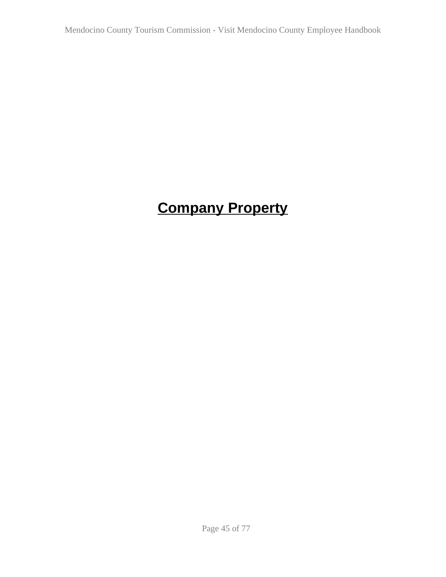Mendocino County Tourism Commission - Visit Mendocino County Employee Handbook

# **Company Property**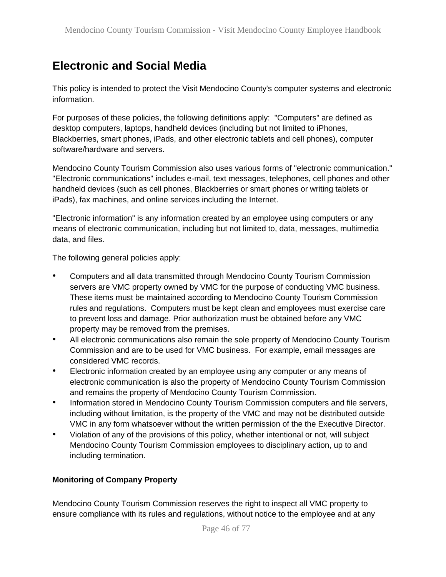## **Electronic and Social Media**

This policy is intended to protect the Visit Mendocino County's computer systems and electronic information.

For purposes of these policies, the following definitions apply: "Computers" are defined as desktop computers, laptops, handheld devices (including but not limited to iPhones, Blackberries, smart phones, iPads, and other electronic tablets and cell phones), computer software/hardware and servers.

Mendocino County Tourism Commission also uses various forms of "electronic communication." "Electronic communications" includes e-mail, text messages, telephones, cell phones and other handheld devices (such as cell phones, Blackberries or smart phones or writing tablets or iPads), fax machines, and online services including the Internet.

"Electronic information" is any information created by an employee using computers or any means of electronic communication, including but not limited to, data, messages, multimedia data, and files.

The following general policies apply:

- Computers and all data transmitted through Mendocino County Tourism Commission servers are VMC property owned by VMC for the purpose of conducting VMC business. These items must be maintained according to Mendocino County Tourism Commission rules and regulations. Computers must be kept clean and employees must exercise care to prevent loss and damage. Prior authorization must be obtained before any VMC property may be removed from the premises.
- All electronic communications also remain the sole property of Mendocino County Tourism Commission and are to be used for VMC business. For example, email messages are considered VMC records.
- Electronic information created by an employee using any computer or any means of electronic communication is also the property of Mendocino County Tourism Commission and remains the property of Mendocino County Tourism Commission.
- Information stored in Mendocino County Tourism Commission computers and file servers, including without limitation, is the property of the VMC and may not be distributed outside VMC in any form whatsoever without the written permission of the the Executive Director.
- Violation of any of the provisions of this policy, whether intentional or not, will subject Mendocino County Tourism Commission employees to disciplinary action, up to and including termination.

### **Monitoring of Company Property**

Mendocino County Tourism Commission reserves the right to inspect all VMC property to ensure compliance with its rules and regulations, without notice to the employee and at any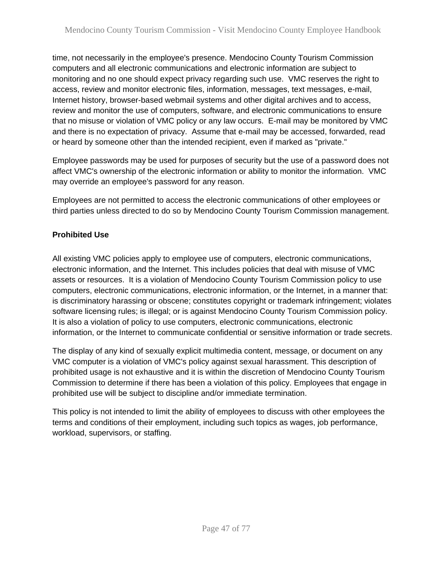time, not necessarily in the employee's presence. Mendocino County Tourism Commission computers and all electronic communications and electronic information are subject to monitoring and no one should expect privacy regarding such use. VMC reserves the right to access, review and monitor electronic files, information, messages, text messages, e-mail, Internet history, browser-based webmail systems and other digital archives and to access, review and monitor the use of computers, software, and electronic communications to ensure that no misuse or violation of VMC policy or any law occurs. E-mail may be monitored by VMC and there is no expectation of privacy. Assume that e-mail may be accessed, forwarded, read or heard by someone other than the intended recipient, even if marked as "private."

Employee passwords may be used for purposes of security but the use of a password does not affect VMC's ownership of the electronic information or ability to monitor the information. VMC may override an employee's password for any reason.

Employees are not permitted to access the electronic communications of other employees or third parties unless directed to do so by Mendocino County Tourism Commission management.

### **Prohibited Use**

All existing VMC policies apply to employee use of computers, electronic communications, electronic information, and the Internet. This includes policies that deal with misuse of VMC assets or resources. It is a violation of Mendocino County Tourism Commission policy to use computers, electronic communications, electronic information, or the Internet, in a manner that: is discriminatory harassing or obscene; constitutes copyright or trademark infringement; violates software licensing rules; is illegal; or is against Mendocino County Tourism Commission policy. It is also a violation of policy to use computers, electronic communications, electronic information, or the Internet to communicate confidential or sensitive information or trade secrets.

The display of any kind of sexually explicit multimedia content, message, or document on any VMC computer is a violation of VMC's policy against sexual harassment. This description of prohibited usage is not exhaustive and it is within the discretion of Mendocino County Tourism Commission to determine if there has been a violation of this policy. Employees that engage in prohibited use will be subject to discipline and/or immediate termination.

This policy is not intended to limit the ability of employees to discuss with other employees the terms and conditions of their employment, including such topics as wages, job performance, workload, supervisors, or staffing.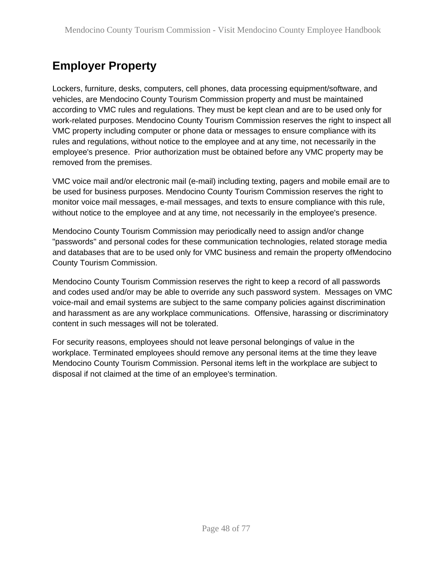## **Employer Property**

Lockers, furniture, desks, computers, cell phones, data processing equipment/software, and vehicles, are Mendocino County Tourism Commission property and must be maintained according to VMC rules and regulations. They must be kept clean and are to be used only for work-related purposes. Mendocino County Tourism Commission reserves the right to inspect all VMC property including computer or phone data or messages to ensure compliance with its rules and regulations, without notice to the employee and at any time, not necessarily in the employee's presence. Prior authorization must be obtained before any VMC property may be removed from the premises.

VMC voice mail and/or electronic mail (e-mail) including texting, pagers and mobile email are to be used for business purposes. Mendocino County Tourism Commission reserves the right to monitor voice mail messages, e-mail messages, and texts to ensure compliance with this rule, without notice to the employee and at any time, not necessarily in the employee's presence.

Mendocino County Tourism Commission may periodically need to assign and/or change "passwords" and personal codes for these communication technologies, related storage media and databases that are to be used only for VMC business and remain the property ofMendocino County Tourism Commission.

Mendocino County Tourism Commission reserves the right to keep a record of all passwords and codes used and/or may be able to override any such password system. Messages on VMC voice-mail and email systems are subject to the same company policies against discrimination and harassment as are any workplace communications. Offensive, harassing or discriminatory content in such messages will not be tolerated.

For security reasons, employees should not leave personal belongings of value in the workplace. Terminated employees should remove any personal items at the time they leave Mendocino County Tourism Commission. Personal items left in the workplace are subject to disposal if not claimed at the time of an employee's termination.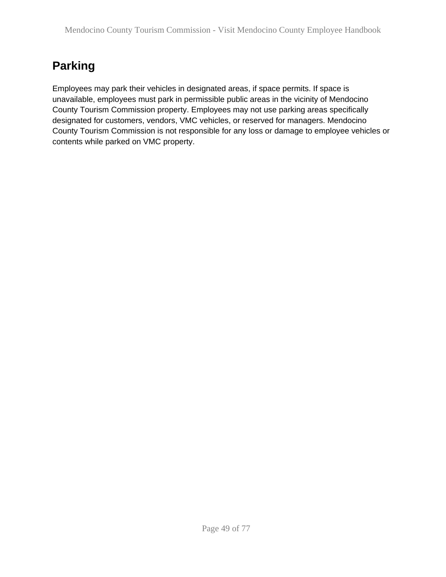## **Parking**

Employees may park their vehicles in designated areas, if space permits. If space is unavailable, employees must park in permissible public areas in the vicinity of Mendocino County Tourism Commission property. Employees may not use parking areas specifically designated for customers, vendors, VMC vehicles, or reserved for managers. Mendocino County Tourism Commission is not responsible for any loss or damage to employee vehicles or contents while parked on VMC property.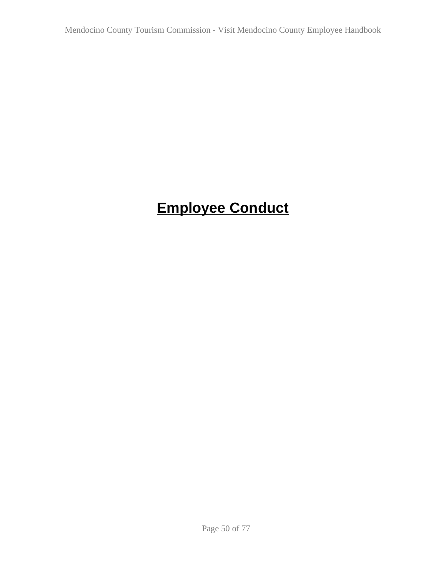Mendocino County Tourism Commission - Visit Mendocino County Employee Handbook

# **Employee Conduct**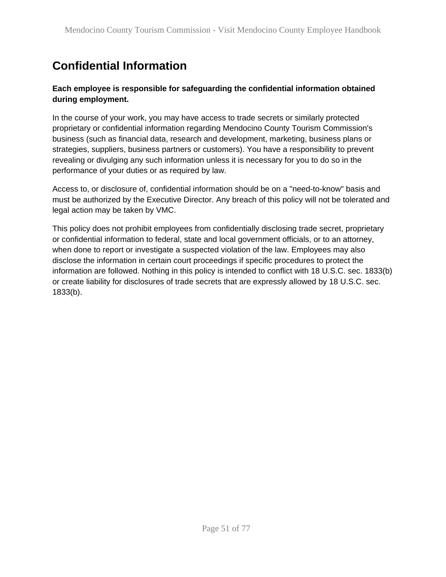## **Confidential Information**

### **Each employee is responsible for safeguarding the confidential information obtained during employment.**

In the course of your work, you may have access to trade secrets or similarly protected proprietary or confidential information regarding Mendocino County Tourism Commission's business (such as financial data, research and development, marketing, business plans or strategies, suppliers, business partners or customers). You have a responsibility to prevent revealing or divulging any such information unless it is necessary for you to do so in the performance of your duties or as required by law.

Access to, or disclosure of, confidential information should be on a "need-to-know" basis and must be authorized by the Executive Director. Any breach of this policy will not be tolerated and legal action may be taken by VMC.

This policy does not prohibit employees from confidentially disclosing trade secret, proprietary or confidential information to federal, state and local government officials, or to an attorney, when done to report or investigate a suspected violation of the law. Employees may also disclose the information in certain court proceedings if specific procedures to protect the information are followed. Nothing in this policy is intended to conflict with 18 U.S.C. sec. 1833(b) or create liability for disclosures of trade secrets that are expressly allowed by 18 U.S.C. sec. 1833(b).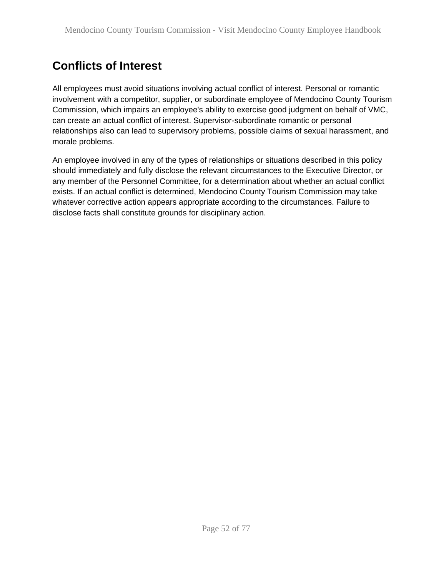## **Conflicts of Interest**

All employees must avoid situations involving actual conflict of interest. Personal or romantic involvement with a competitor, supplier, or subordinate employee of Mendocino County Tourism Commission, which impairs an employee's ability to exercise good judgment on behalf of VMC, can create an actual conflict of interest. Supervisor-subordinate romantic or personal relationships also can lead to supervisory problems, possible claims of sexual harassment, and morale problems.

An employee involved in any of the types of relationships or situations described in this policy should immediately and fully disclose the relevant circumstances to the Executive Director, or any member of the Personnel Committee, for a determination about whether an actual conflict exists. If an actual conflict is determined, Mendocino County Tourism Commission may take whatever corrective action appears appropriate according to the circumstances. Failure to disclose facts shall constitute grounds for disciplinary action.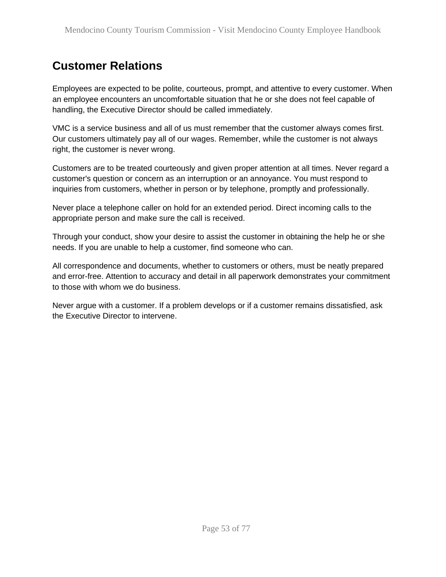## **Customer Relations**

Employees are expected to be polite, courteous, prompt, and attentive to every customer. When an employee encounters an uncomfortable situation that he or she does not feel capable of handling, the Executive Director should be called immediately.

VMC is a service business and all of us must remember that the customer always comes first. Our customers ultimately pay all of our wages. Remember, while the customer is not always right, the customer is never wrong.

Customers are to be treated courteously and given proper attention at all times. Never regard a customer's question or concern as an interruption or an annoyance. You must respond to inquiries from customers, whether in person or by telephone, promptly and professionally.

Never place a telephone caller on hold for an extended period. Direct incoming calls to the appropriate person and make sure the call is received.

Through your conduct, show your desire to assist the customer in obtaining the help he or she needs. If you are unable to help a customer, find someone who can.

All correspondence and documents, whether to customers or others, must be neatly prepared and error-free. Attention to accuracy and detail in all paperwork demonstrates your commitment to those with whom we do business.

Never argue with a customer. If a problem develops or if a customer remains dissatisfied, ask the Executive Director to intervene.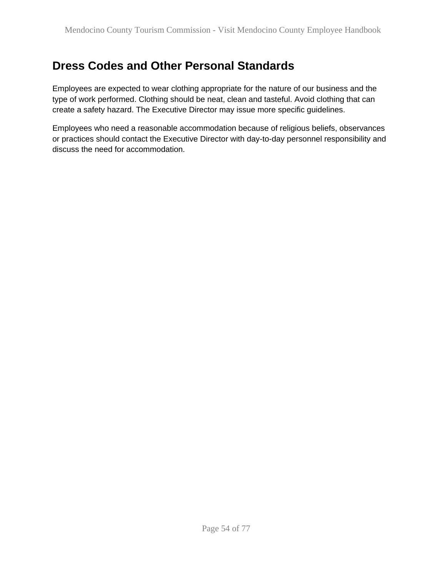### **Dress Codes and Other Personal Standards**

Employees are expected to wear clothing appropriate for the nature of our business and the type of work performed. Clothing should be neat, clean and tasteful. Avoid clothing that can create a safety hazard. The Executive Director may issue more specific guidelines.

Employees who need a reasonable accommodation because of religious beliefs, observances or practices should contact the Executive Director with day-to-day personnel responsibility and discuss the need for accommodation.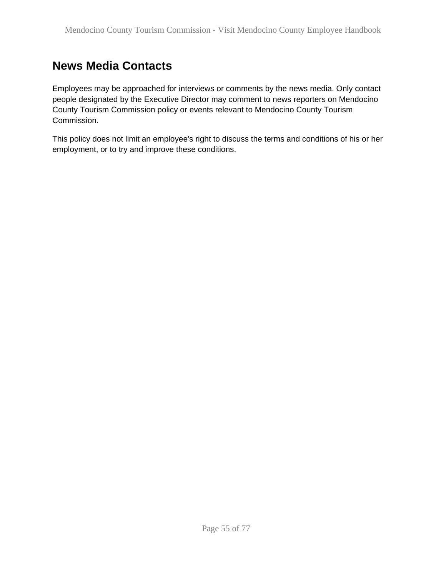## **News Media Contacts**

Employees may be approached for interviews or comments by the news media. Only contact people designated by the Executive Director may comment to news reporters on Mendocino County Tourism Commission policy or events relevant to Mendocino County Tourism Commission.

This policy does not limit an employee's right to discuss the terms and conditions of his or her employment, or to try and improve these conditions.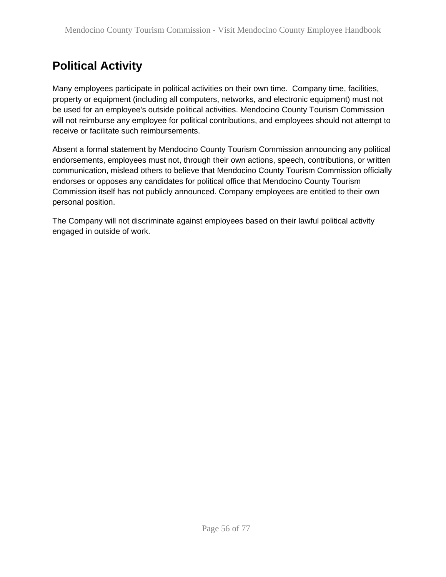## **Political Activity**

Many employees participate in political activities on their own time. Company time, facilities, property or equipment (including all computers, networks, and electronic equipment) must not be used for an employee's outside political activities. Mendocino County Tourism Commission will not reimburse any employee for political contributions, and employees should not attempt to receive or facilitate such reimbursements.

Absent a formal statement by Mendocino County Tourism Commission announcing any political endorsements, employees must not, through their own actions, speech, contributions, or written communication, mislead others to believe that Mendocino County Tourism Commission officially endorses or opposes any candidates for political office that Mendocino County Tourism Commission itself has not publicly announced. Company employees are entitled to their own personal position.

The Company will not discriminate against employees based on their lawful political activity engaged in outside of work.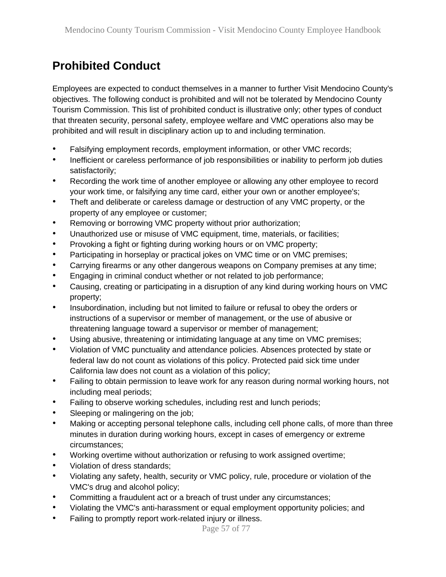## **Prohibited Conduct**

Employees are expected to conduct themselves in a manner to further Visit Mendocino County's objectives. The following conduct is prohibited and will not be tolerated by Mendocino County Tourism Commission. This list of prohibited conduct is illustrative only; other types of conduct that threaten security, personal safety, employee welfare and VMC operations also may be prohibited and will result in disciplinary action up to and including termination.

- Falsifying employment records, employment information, or other VMC records;
- Inefficient or careless performance of job responsibilities or inability to perform job duties satisfactorily;
- Recording the work time of another employee or allowing any other employee to record your work time, or falsifying any time card, either your own or another employee's;
- Theft and deliberate or careless damage or destruction of any VMC property, or the property of any employee or customer;
- Removing or borrowing VMC property without prior authorization;
- Unauthorized use or misuse of VMC equipment, time, materials, or facilities;
- Provoking a fight or fighting during working hours or on VMC property;
- Participating in horseplay or practical jokes on VMC time or on VMC premises;
- Carrying firearms or any other dangerous weapons on Company premises at any time;
- Engaging in criminal conduct whether or not related to job performance;
- Causing, creating or participating in a disruption of any kind during working hours on VMC property;
- Insubordination, including but not limited to failure or refusal to obey the orders or instructions of a supervisor or member of management, or the use of abusive or threatening language toward a supervisor or member of management;
- Using abusive, threatening or intimidating language at any time on VMC premises;
- Violation of VMC punctuality and attendance policies. Absences protected by state or federal law do not count as violations of this policy. Protected paid sick time under California law does not count as a violation of this policy;
- Failing to obtain permission to leave work for any reason during normal working hours, not including meal periods;
- Failing to observe working schedules, including rest and lunch periods;
- Sleeping or malingering on the job;
- Making or accepting personal telephone calls, including cell phone calls, of more than three minutes in duration during working hours, except in cases of emergency or extreme circumstances;
- Working overtime without authorization or refusing to work assigned overtime;
- Violation of dress standards;
- Violating any safety, health, security or VMC policy, rule, procedure or violation of the VMC's drug and alcohol policy;
- Committing a fraudulent act or a breach of trust under any circumstances;
- Violating the VMC's anti-harassment or equal employment opportunity policies; and
- Failing to promptly report work-related injury or illness.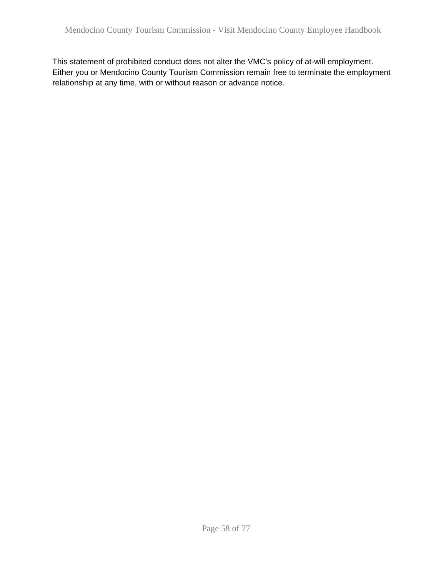This statement of prohibited conduct does not alter the VMC's policy of at-will employment. Either you or Mendocino County Tourism Commission remain free to terminate the employment relationship at any time, with or without reason or advance notice.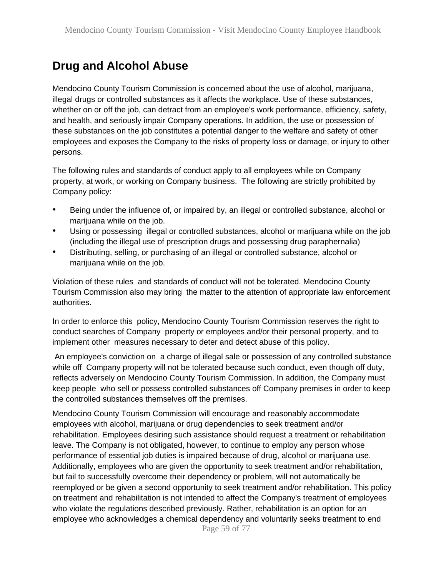## **Drug and Alcohol Abuse**

Mendocino County Tourism Commission is concerned about the use of alcohol, marijuana, illegal drugs or controlled substances as it affects the workplace. Use of these substances, whether on or off the job, can detract from an employee's work performance, efficiency, safety, and health, and seriously impair Company operations. In addition, the use or possession of these substances on the job constitutes a potential danger to the welfare and safety of other employees and exposes the Company to the risks of property loss or damage, or injury to other persons.

The following rules and standards of conduct apply to all employees while on Company property, at work, or working on Company business. The following are strictly prohibited by Company policy:

- Being under the influence of, or impaired by, an illegal or controlled substance, alcohol or marijuana while on the job.
- Using or possessing illegal or controlled substances, alcohol or marijuana while on the job (including the illegal use of prescription drugs and possessing drug paraphernalia)
- Distributing, selling, or purchasing of an illegal or controlled substance, alcohol or marijuana while on the job.

Violation of these rules and standards of conduct will not be tolerated. Mendocino County Tourism Commission also may bring the matter to the attention of appropriate law enforcement authorities.

In order to enforce this policy, Mendocino County Tourism Commission reserves the right to conduct searches of Company property or employees and/or their personal property, and to implement other measures necessary to deter and detect abuse of this policy.

An employee's conviction on a charge of illegal sale or possession of any controlled substance while off Company property will not be tolerated because such conduct, even though off duty, reflects adversely on Mendocino County Tourism Commission. In addition, the Company must keep people who sell or possess controlled substances off Company premises in order to keep the controlled substances themselves off the premises.

Mendocino County Tourism Commission will encourage and reasonably accommodate employees with alcohol, marijuana or drug dependencies to seek treatment and/or rehabilitation. Employees desiring such assistance should request a treatment or rehabilitation leave. The Company is not obligated, however, to continue to employ any person whose performance of essential job duties is impaired because of drug, alcohol or marijuana use. Additionally, employees who are given the opportunity to seek treatment and/or rehabilitation, but fail to successfully overcome their dependency or problem, will not automatically be reemployed or be given a second opportunity to seek treatment and/or rehabilitation. This policy on treatment and rehabilitation is not intended to affect the Company's treatment of employees who violate the regulations described previously. Rather, rehabilitation is an option for an employee who acknowledges a chemical dependency and voluntarily seeks treatment to end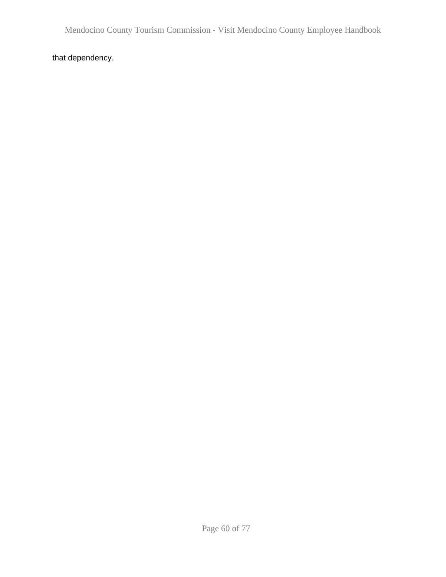that dependency.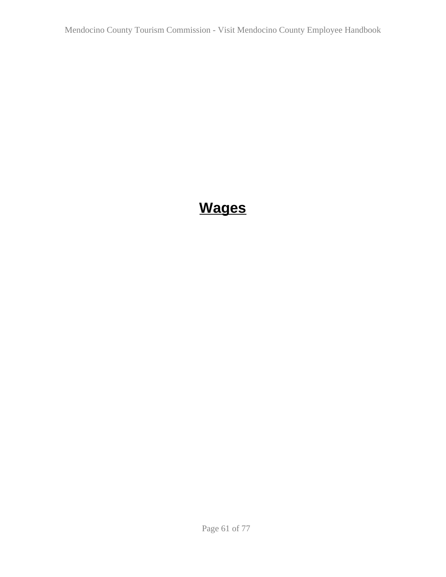Mendocino County Tourism Commission - Visit Mendocino County Employee Handbook

## **Wages**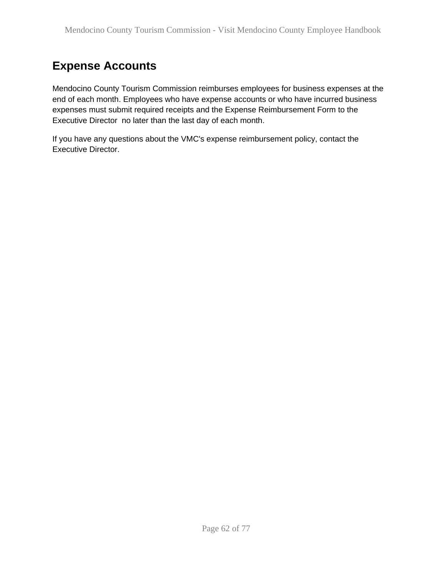## **Expense Accounts**

Mendocino County Tourism Commission reimburses employees for business expenses at the end of each month. Employees who have expense accounts or who have incurred business expenses must submit required receipts and the Expense Reimbursement Form to the Executive Director no later than the last day of each month.

If you have any questions about the VMC's expense reimbursement policy, contact the Executive Director.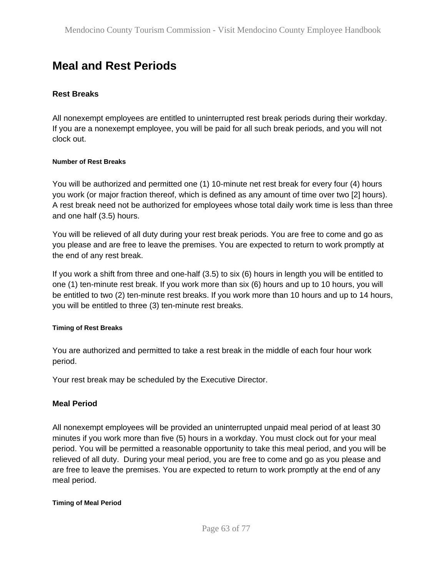## **Meal and Rest Periods**

### **Rest Breaks**

All nonexempt employees are entitled to uninterrupted rest break periods during their workday. If you are a nonexempt employee, you will be paid for all such break periods, and you will not clock out.

### **Number of Rest Breaks**

You will be authorized and permitted one (1) 10-minute net rest break for every four (4) hours you work (or major fraction thereof, which is defined as any amount of time over two [2] hours). A rest break need not be authorized for employees whose total daily work time is less than three and one half (3.5) hours.

You will be relieved of all duty during your rest break periods. You are free to come and go as you please and are free to leave the premises. You are expected to return to work promptly at the end of any rest break.

If you work a shift from three and one-half (3.5) to six (6) hours in length you will be entitled to one (1) ten-minute rest break. If you work more than six (6) hours and up to 10 hours, you will be entitled to two (2) ten-minute rest breaks. If you work more than 10 hours and up to 14 hours, you will be entitled to three (3) ten-minute rest breaks.

### **Timing of Rest Breaks**

You are authorized and permitted to take a rest break in the middle of each four hour work period.

Your rest break may be scheduled by the Executive Director.

### **Meal Period**

All nonexempt employees will be provided an uninterrupted unpaid meal period of at least 30 minutes if you work more than five (5) hours in a workday. You must clock out for your meal period. You will be permitted a reasonable opportunity to take this meal period, and you will be relieved of all duty. During your meal period, you are free to come and go as you please and are free to leave the premises. You are expected to return to work promptly at the end of any meal period.

#### **Timing of Meal Period**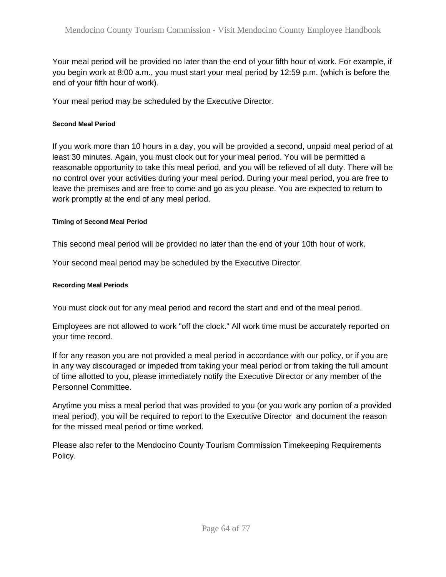Your meal period will be provided no later than the end of your fifth hour of work. For example, if you begin work at 8:00 a.m., you must start your meal period by 12:59 p.m. (which is before the end of your fifth hour of work).

Your meal period may be scheduled by the Executive Director.

### **Second Meal Period**

If you work more than 10 hours in a day, you will be provided a second, unpaid meal period of at least 30 minutes. Again, you must clock out for your meal period. You will be permitted a reasonable opportunity to take this meal period, and you will be relieved of all duty. There will be no control over your activities during your meal period. During your meal period, you are free to leave the premises and are free to come and go as you please. You are expected to return to work promptly at the end of any meal period.

#### **Timing of Second Meal Period**

This second meal period will be provided no later than the end of your 10th hour of work.

Your second meal period may be scheduled by the Executive Director.

### **Recording Meal Periods**

You must clock out for any meal period and record the start and end of the meal period.

Employees are not allowed to work "off the clock." All work time must be accurately reported on your time record.

If for any reason you are not provided a meal period in accordance with our policy, or if you are in any way discouraged or impeded from taking your meal period or from taking the full amount of time allotted to you, please immediately notify the Executive Director or any member of the Personnel Committee.

Anytime you miss a meal period that was provided to you (or you work any portion of a provided meal period), you will be required to report to the Executive Director and document the reason for the missed meal period or time worked.

Please also refer to the Mendocino County Tourism Commission Timekeeping Requirements Policy.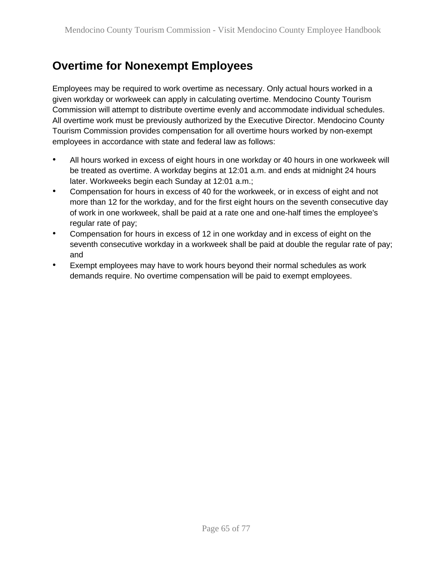## **Overtime for Nonexempt Employees**

Employees may be required to work overtime as necessary. Only actual hours worked in a given workday or workweek can apply in calculating overtime. Mendocino County Tourism Commission will attempt to distribute overtime evenly and accommodate individual schedules. All overtime work must be previously authorized by the Executive Director. Mendocino County Tourism Commission provides compensation for all overtime hours worked by non-exempt employees in accordance with state and federal law as follows:

- All hours worked in excess of eight hours in one workday or 40 hours in one workweek will be treated as overtime. A workday begins at 12:01 a.m. and ends at midnight 24 hours later. Workweeks begin each Sunday at 12:01 a.m.;
- Compensation for hours in excess of 40 for the workweek, or in excess of eight and not more than 12 for the workday, and for the first eight hours on the seventh consecutive day of work in one workweek, shall be paid at a rate one and one-half times the employee's regular rate of pay;
- Compensation for hours in excess of 12 in one workday and in excess of eight on the seventh consecutive workday in a workweek shall be paid at double the regular rate of pay; and
- Exempt employees may have to work hours beyond their normal schedules as work demands require. No overtime compensation will be paid to exempt employees.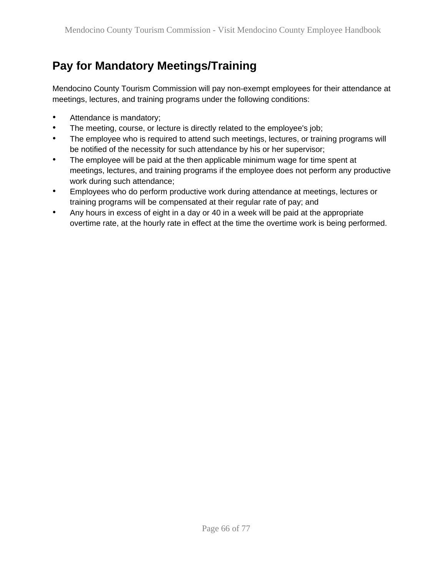## **Pay for Mandatory Meetings/Training**

Mendocino County Tourism Commission will pay non-exempt employees for their attendance at meetings, lectures, and training programs under the following conditions:

- Attendance is mandatory;
- The meeting, course, or lecture is directly related to the employee's job;
- The employee who is required to attend such meetings, lectures, or training programs will be notified of the necessity for such attendance by his or her supervisor;
- The employee will be paid at the then applicable minimum wage for time spent at meetings, lectures, and training programs if the employee does not perform any productive work during such attendance;
- Employees who do perform productive work during attendance at meetings, lectures or training programs will be compensated at their regular rate of pay; and
- Any hours in excess of eight in a day or 40 in a week will be paid at the appropriate overtime rate, at the hourly rate in effect at the time the overtime work is being performed.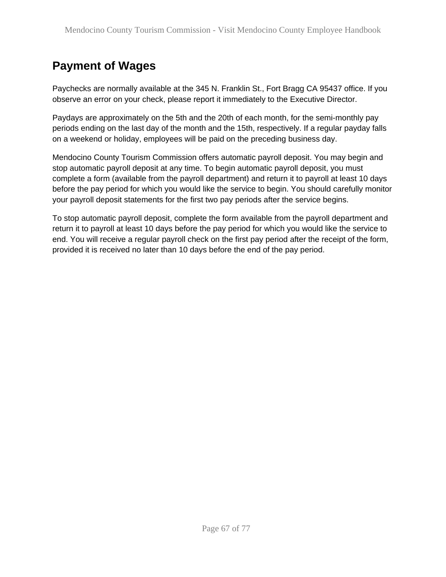## **Payment of Wages**

Paychecks are normally available at the 345 N. Franklin St., Fort Bragg CA 95437 office. If you observe an error on your check, please report it immediately to the Executive Director.

Paydays are approximately on the 5th and the 20th of each month, for the semi-monthly pay periods ending on the last day of the month and the 15th, respectively. If a regular payday falls on a weekend or holiday, employees will be paid on the preceding business day.

Mendocino County Tourism Commission offers automatic payroll deposit. You may begin and stop automatic payroll deposit at any time. To begin automatic payroll deposit, you must complete a form (available from the payroll department) and return it to payroll at least 10 days before the pay period for which you would like the service to begin. You should carefully monitor your payroll deposit statements for the first two pay periods after the service begins.

To stop automatic payroll deposit, complete the form available from the payroll department and return it to payroll at least 10 days before the pay period for which you would like the service to end. You will receive a regular payroll check on the first pay period after the receipt of the form, provided it is received no later than 10 days before the end of the pay period.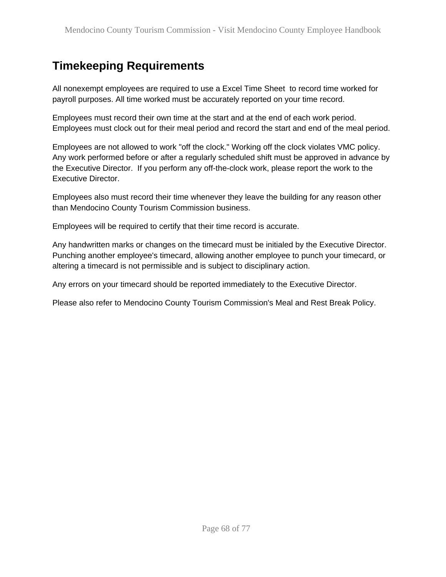## **Timekeeping Requirements**

All nonexempt employees are required to use a Excel Time Sheet to record time worked for payroll purposes. All time worked must be accurately reported on your time record.

Employees must record their own time at the start and at the end of each work period. Employees must clock out for their meal period and record the start and end of the meal period.

Employees are not allowed to work "off the clock." Working off the clock violates VMC policy. Any work performed before or after a regularly scheduled shift must be approved in advance by the Executive Director. If you perform any off-the-clock work, please report the work to the Executive Director.

Employees also must record their time whenever they leave the building for any reason other than Mendocino County Tourism Commission business.

Employees will be required to certify that their time record is accurate.

Any handwritten marks or changes on the timecard must be initialed by the Executive Director. Punching another employee's timecard, allowing another employee to punch your timecard, or altering a timecard is not permissible and is subject to disciplinary action.

Any errors on your timecard should be reported immediately to the Executive Director.

Please also refer to Mendocino County Tourism Commission's Meal and Rest Break Policy.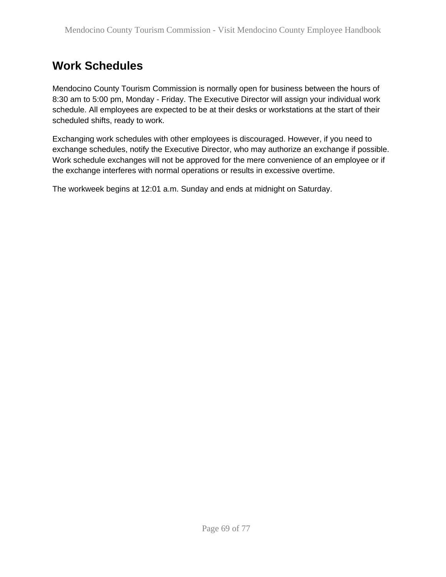## **Work Schedules**

Mendocino County Tourism Commission is normally open for business between the hours of 8:30 am to 5:00 pm, Monday - Friday. The Executive Director will assign your individual work schedule. All employees are expected to be at their desks or workstations at the start of their scheduled shifts, ready to work.

Exchanging work schedules with other employees is discouraged. However, if you need to exchange schedules, notify the Executive Director, who may authorize an exchange if possible. Work schedule exchanges will not be approved for the mere convenience of an employee or if the exchange interferes with normal operations or results in excessive overtime.

The workweek begins at 12:01 a.m. Sunday and ends at midnight on Saturday.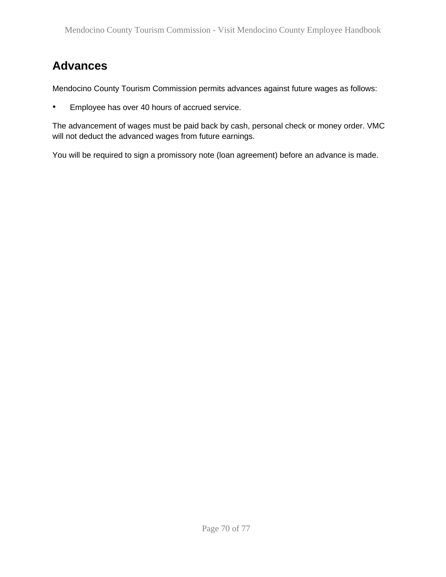## **Advances**

Mendocino County Tourism Commission permits advances against future wages as follows:

• Employee has over 40 hours of accrued service.

The advancement of wages must be paid back by cash, personal check or money order. VMC will not deduct the advanced wages from future earnings.

You will be required to sign a promissory note (loan agreement) before an advance is made.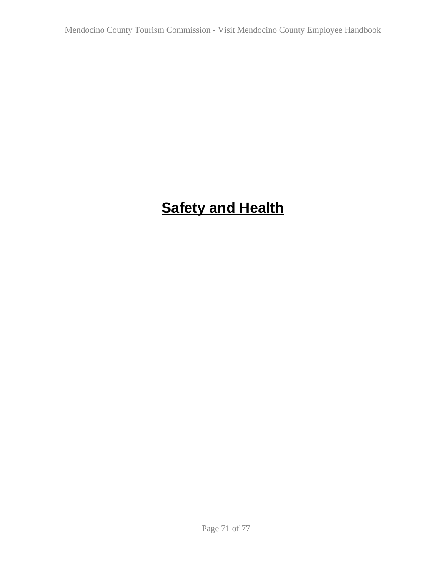Mendocino County Tourism Commission - Visit Mendocino County Employee Handbook

# **Safety and Health**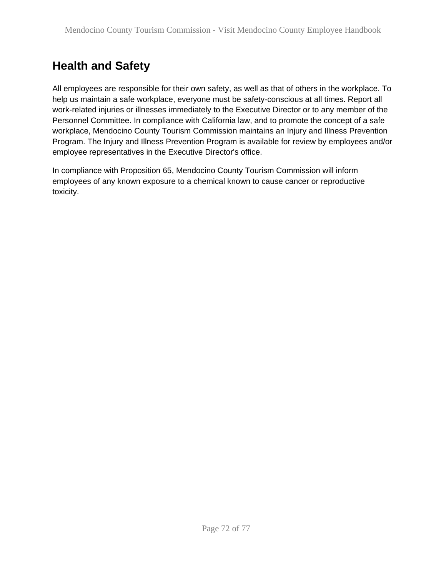## **Health and Safety**

All employees are responsible for their own safety, as well as that of others in the workplace. To help us maintain a safe workplace, everyone must be safety-conscious at all times. Report all work-related injuries or illnesses immediately to the Executive Director or to any member of the Personnel Committee. In compliance with California law, and to promote the concept of a safe workplace, Mendocino County Tourism Commission maintains an Injury and Illness Prevention Program. The Injury and Illness Prevention Program is available for review by employees and/or employee representatives in the Executive Director's office.

In compliance with Proposition 65, Mendocino County Tourism Commission will inform employees of any known exposure to a chemical known to cause cancer or reproductive toxicity.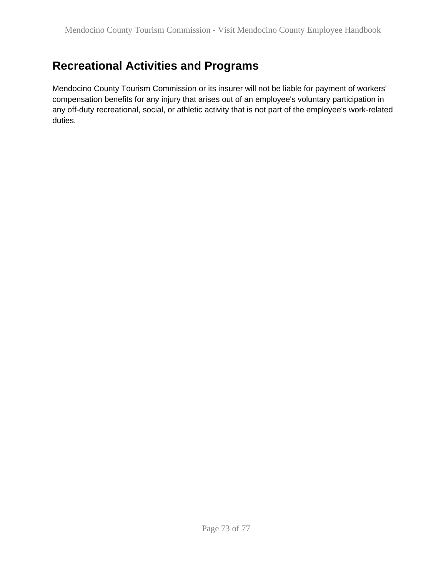### **Recreational Activities and Programs**

Mendocino County Tourism Commission or its insurer will not be liable for payment of workers' compensation benefits for any injury that arises out of an employee's voluntary participation in any off-duty recreational, social, or athletic activity that is not part of the employee's work-related duties.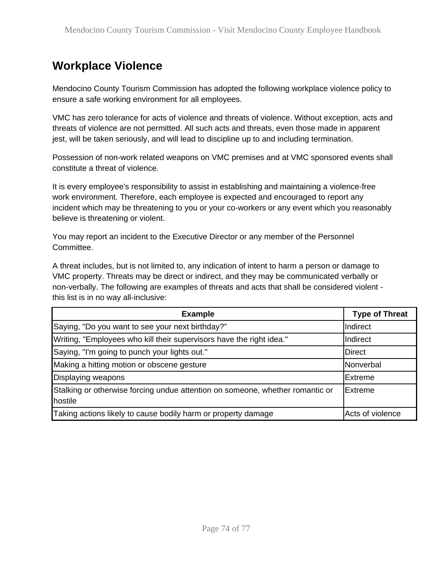### **Workplace Violence**

Mendocino County Tourism Commission has adopted the following workplace violence policy to ensure a safe working environment for all employees.

VMC has zero tolerance for acts of violence and threats of violence. Without exception, acts and threats of violence are not permitted. All such acts and threats, even those made in apparent jest, will be taken seriously, and will lead to discipline up to and including termination.

Possession of non-work related weapons on VMC premises and at VMC sponsored events shall constitute a threat of violence.

It is every employee's responsibility to assist in establishing and maintaining a violence-free work environment. Therefore, each employee is expected and encouraged to report any incident which may be threatening to you or your co-workers or any event which you reasonably believe is threatening or violent.

You may report an incident to the Executive Director or any member of the Personnel Committee.

A threat includes, but is not limited to, any indication of intent to harm a person or damage to VMC property. Threats may be direct or indirect, and they may be communicated verbally or non-verbally. The following are examples of threats and acts that shall be considered violent this list is in no way all-inclusive:

| <b>Example</b>                                                                           | <b>Type of Threat</b> |
|------------------------------------------------------------------------------------------|-----------------------|
| Saying, "Do you want to see your next birthday?"                                         | Indirect              |
| Writing, "Employees who kill their supervisors have the right idea."                     | Indirect              |
| Saying, "I'm going to punch your lights out."                                            | <b>Direct</b>         |
| Making a hitting motion or obscene gesture                                               | Nonverbal             |
| Displaying weapons                                                                       | Extreme               |
| Stalking or otherwise forcing undue attention on someone, whether romantic or<br>hostile | Extreme               |
| Taking actions likely to cause bodily harm or property damage                            | Acts of violence      |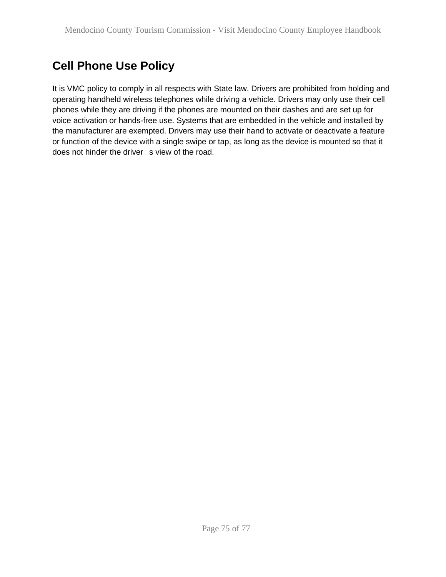## **Cell Phone Use Policy**

It is VMC policy to comply in all respects with State law. Drivers are prohibited from holding and operating handheld wireless telephones while driving a vehicle. Drivers may only use their cell phones while they are driving if the phones are mounted on their dashes and are set up for voice activation or hands-free use. Systems that are embedded in the vehicle and installed by the manufacturer are exempted. Drivers may use their hand to activate or deactivate a feature or function of the device with a single swipe or tap, as long as the device is mounted so that it does not hinder the driver s view of the road.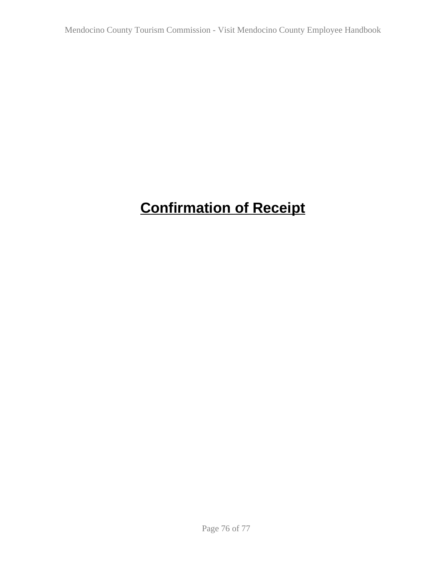Mendocino County Tourism Commission - Visit Mendocino County Employee Handbook

# **Confirmation of Receipt**